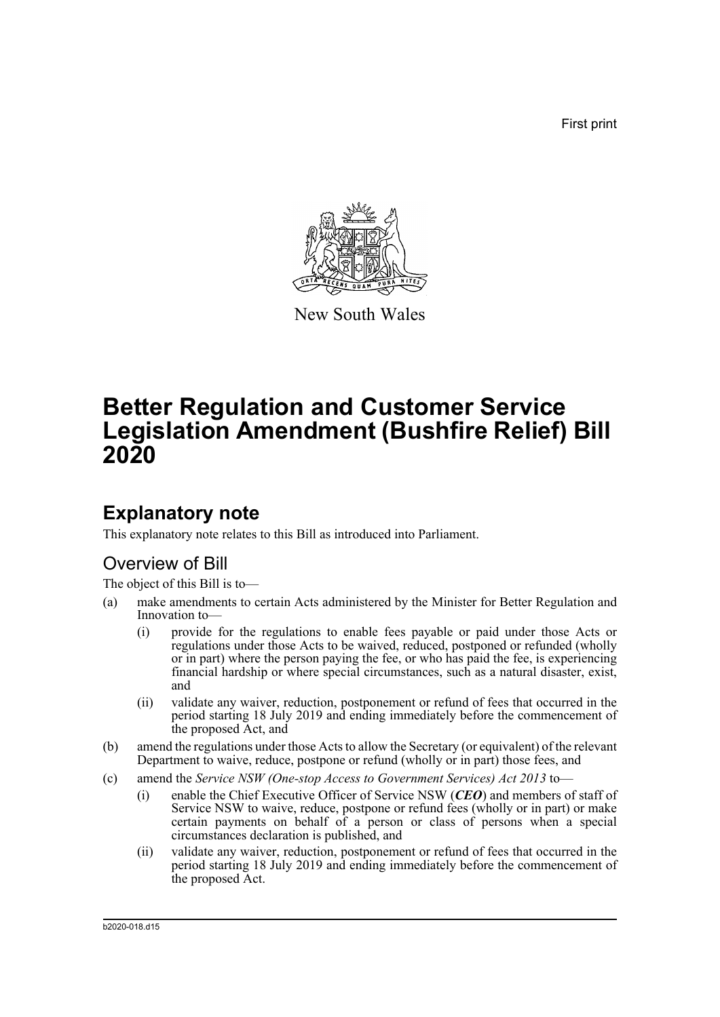First print



New South Wales

# **Better Regulation and Customer Service Legislation Amendment (Bushfire Relief) Bill 2020**

# **Explanatory note**

This explanatory note relates to this Bill as introduced into Parliament.

## Overview of Bill

The object of this Bill is to—

- (a) make amendments to certain Acts administered by the Minister for Better Regulation and Innovation to—
	- (i) provide for the regulations to enable fees payable or paid under those Acts or regulations under those Acts to be waived, reduced, postponed or refunded (wholly or in part) where the person paying the fee, or who has paid the fee, is experiencing financial hardship or where special circumstances, such as a natural disaster, exist, and
	- (ii) validate any waiver, reduction, postponement or refund of fees that occurred in the period starting 18 July 2019 and ending immediately before the commencement of the proposed Act, and
- (b) amend the regulations under those Acts to allow the Secretary (or equivalent) of the relevant Department to waive, reduce, postpone or refund (wholly or in part) those fees, and
- (c) amend the *Service NSW (One-stop Access to Government Services) Act 2013* to—
	- (i) enable the Chief Executive Officer of Service NSW (*CEO*) and members of staff of Service NSW to waive, reduce, postpone or refund fees (wholly or in part) or make certain payments on behalf of a person or class of persons when a special circumstances declaration is published, and
	- (ii) validate any waiver, reduction, postponement or refund of fees that occurred in the period starting 18 July 2019 and ending immediately before the commencement of the proposed Act.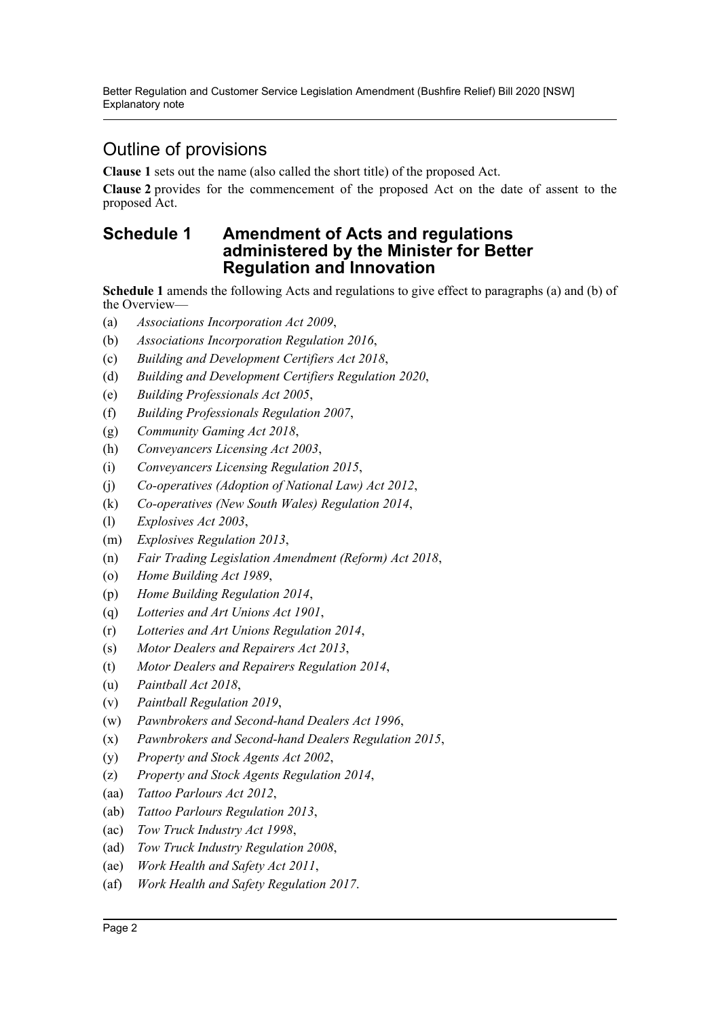Better Regulation and Customer Service Legislation Amendment (Bushfire Relief) Bill 2020 [NSW] Explanatory note

# Outline of provisions

**Clause 1** sets out the name (also called the short title) of the proposed Act.

**Clause 2** provides for the commencement of the proposed Act on the date of assent to the proposed Act.

### **Schedule 1 Amendment of Acts and regulations administered by the Minister for Better Regulation and Innovation**

**Schedule 1** amends the following Acts and regulations to give effect to paragraphs (a) and (b) of the Overview—

- (a) *Associations Incorporation Act 2009*,
- (b) *Associations Incorporation Regulation 2016*,
- (c) *Building and Development Certifiers Act 2018*,
- (d) *Building and Development Certifiers Regulation 2020*,
- (e) *Building Professionals Act 2005*,
- (f) *Building Professionals Regulation 2007*,
- (g) *Community Gaming Act 2018*,
- (h) *Conveyancers Licensing Act 2003*,
- (i) *Conveyancers Licensing Regulation 2015*,
- (j) *Co-operatives (Adoption of National Law) Act 2012*,
- (k) *Co-operatives (New South Wales) Regulation 2014*,
- (l) *Explosives Act 2003*,
- (m) *Explosives Regulation 2013*,
- (n) *Fair Trading Legislation Amendment (Reform) Act 2018*,
- (o) *Home Building Act 1989*,
- (p) *Home Building Regulation 2014*,
- (q) *Lotteries and Art Unions Act 1901*,
- (r) *Lotteries and Art Unions Regulation 2014*,
- (s) *Motor Dealers and Repairers Act 2013*,
- (t) *Motor Dealers and Repairers Regulation 2014*,
- (u) *Paintball Act 2018*,
- (v) *Paintball Regulation 2019*,
- (w) *Pawnbrokers and Second-hand Dealers Act 1996*,
- (x) *Pawnbrokers and Second-hand Dealers Regulation 2015*,
- (y) *Property and Stock Agents Act 2002*,
- (z) *Property and Stock Agents Regulation 2014*,
- (aa) *Tattoo Parlours Act 2012*,
- (ab) *Tattoo Parlours Regulation 2013*,
- (ac) *Tow Truck Industry Act 1998*,
- (ad) *Tow Truck Industry Regulation 2008*,
- (ae) *Work Health and Safety Act 2011*,
- (af) *Work Health and Safety Regulation 2017*.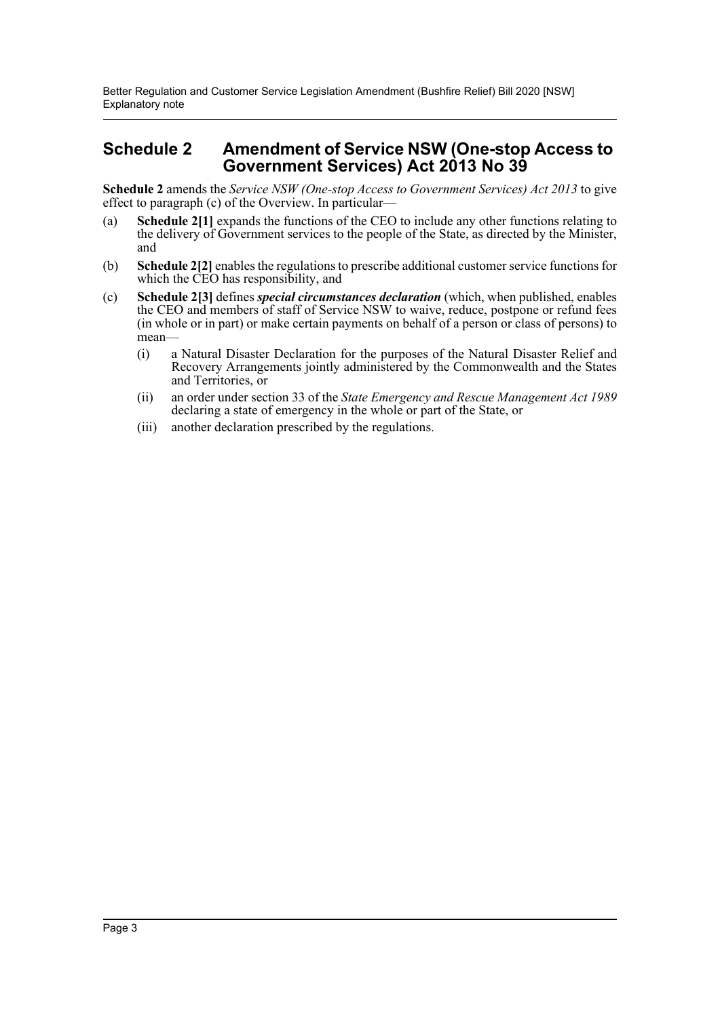Better Regulation and Customer Service Legislation Amendment (Bushfire Relief) Bill 2020 [NSW] Explanatory note

### **Schedule 2 Amendment of Service NSW (One-stop Access to Government Services) Act 2013 No 39**

**Schedule 2** amends the *Service NSW (One-stop Access to Government Services) Act 2013* to give effect to paragraph (c) of the Overview. In particular—

- (a) **Schedule 2[1]** expands the functions of the CEO to include any other functions relating to the delivery of Government services to the people of the State, as directed by the Minister, and
- (b) **Schedule 2[2]** enables the regulations to prescribe additional customer service functions for which the CEO has responsibility, and
- (c) **Schedule 2[3]** defines *special circumstances declaration* (which, when published, enables the CEO and members of staff of Service NSW to waive, reduce, postpone or refund fees (in whole or in part) or make certain payments on behalf of a person or class of persons) to mean—
	- (i) a Natural Disaster Declaration for the purposes of the Natural Disaster Relief and Recovery Arrangements jointly administered by the Commonwealth and the States and Territories, or
	- (ii) an order under section 33 of the *State Emergency and Rescue Management Act 1989* declaring a state of emergency in the whole or part of the State, or
	- (iii) another declaration prescribed by the regulations.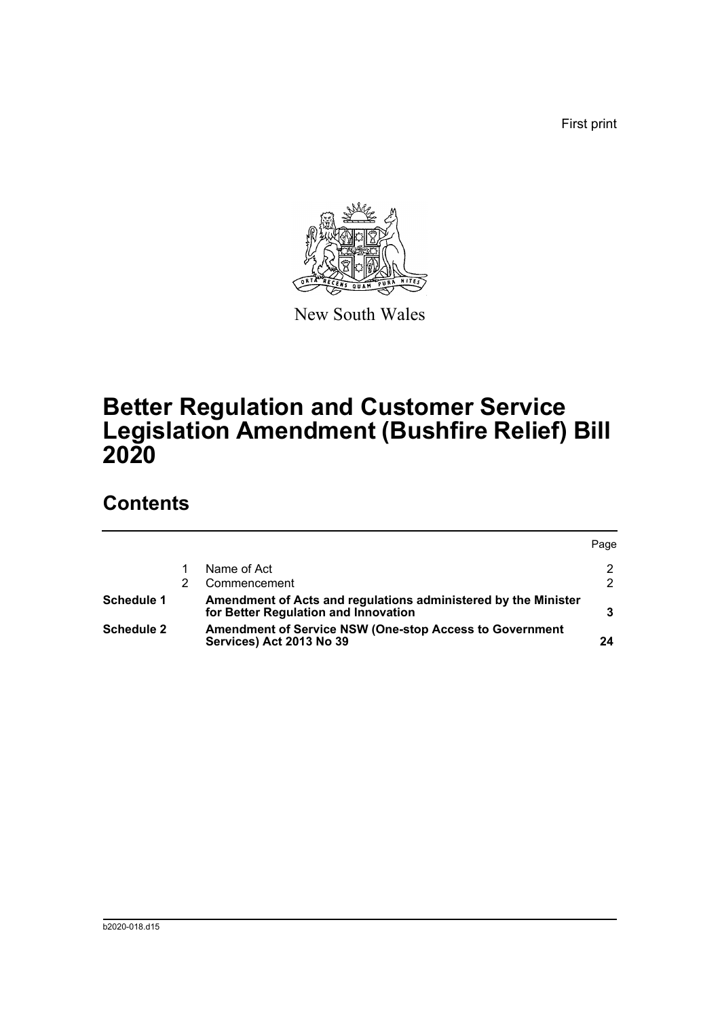First print



New South Wales

# **Better Regulation and Customer Service Legislation Amendment (Bushfire Relief) Bill 2020**

# **Contents**

|                   |                                                                                                        | Page |
|-------------------|--------------------------------------------------------------------------------------------------------|------|
|                   | Name of Act                                                                                            | 2    |
|                   | Commencement                                                                                           | 2    |
| Schedule 1        | Amendment of Acts and regulations administered by the Minister<br>for Better Regulation and Innovation |      |
| <b>Schedule 2</b> | <b>Amendment of Service NSW (One-stop Access to Government</b><br>Services) Act 2013 No 39             | 24   |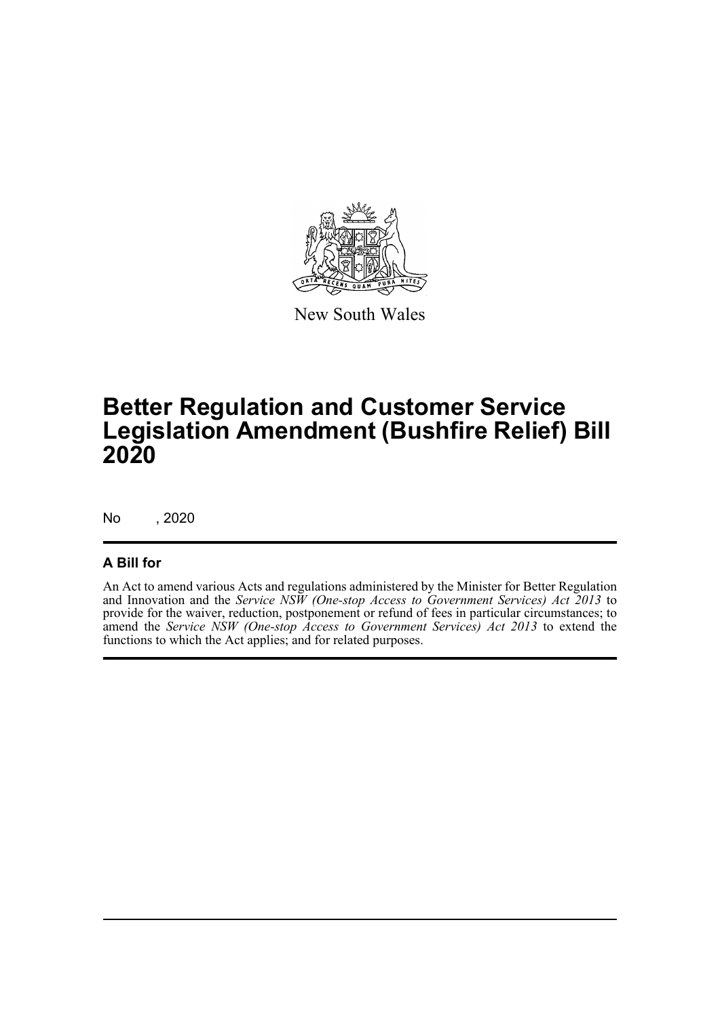

New South Wales

# **Better Regulation and Customer Service Legislation Amendment (Bushfire Relief) Bill 2020**

No , 2020

### **A Bill for**

An Act to amend various Acts and regulations administered by the Minister for Better Regulation and Innovation and the *Service NSW (One-stop Access to Government Services) Act 2013* to provide for the waiver, reduction, postponement or refund of fees in particular circumstances; to amend the *Service NSW (One-stop Access to Government Services) Act 2013* to extend the functions to which the Act applies; and for related purposes.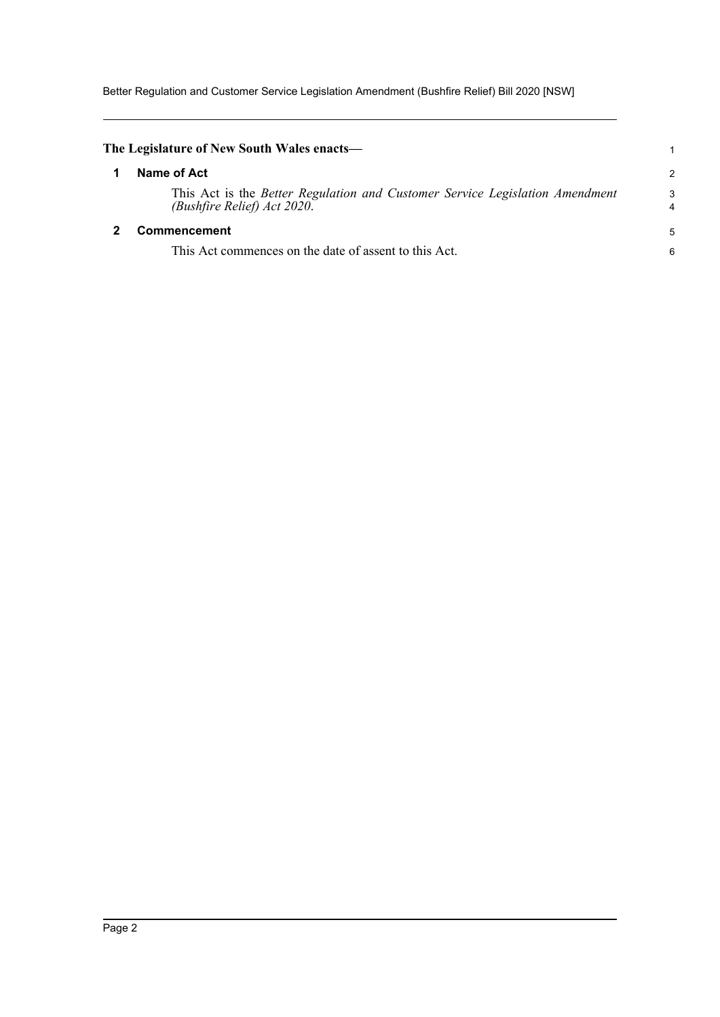Better Regulation and Customer Service Legislation Amendment (Bushfire Relief) Bill 2020 [NSW]

<span id="page-5-1"></span><span id="page-5-0"></span>

| The Legislature of New South Wales enacts—                                                                  |        |
|-------------------------------------------------------------------------------------------------------------|--------|
| Name of Act                                                                                                 | 2      |
| This Act is the Better Regulation and Customer Service Legislation Amendment<br>(Bushfire Relief) Act 2020. | 3<br>4 |
| Commencement                                                                                                | 5      |
| This Act commences on the date of assent to this Act.                                                       | 6      |
|                                                                                                             |        |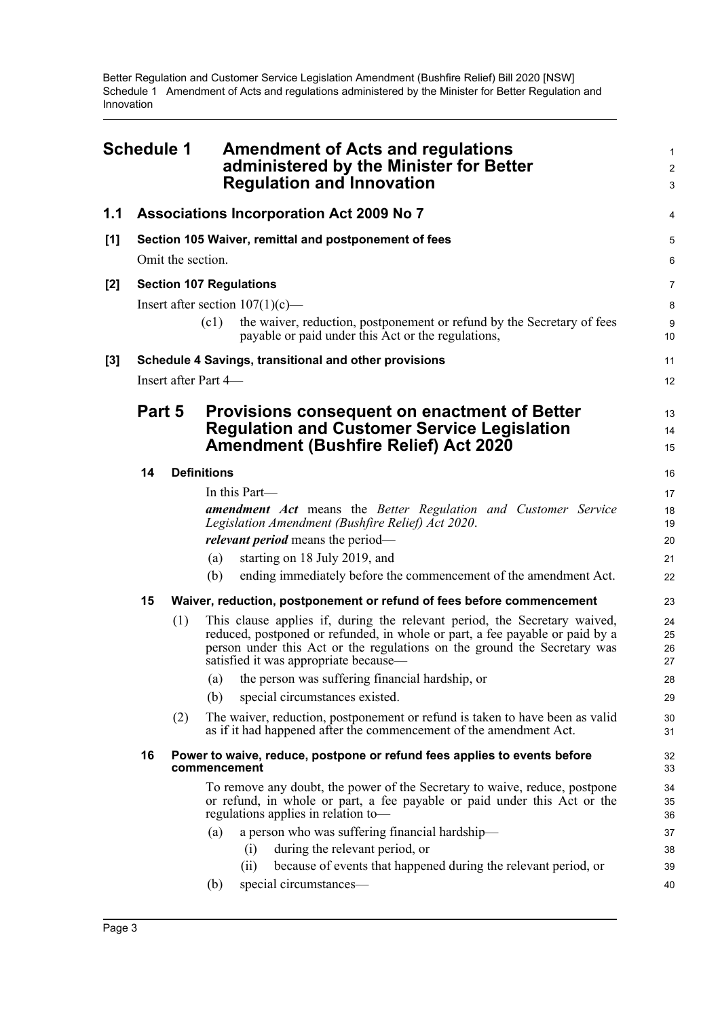<span id="page-6-0"></span>

|       | <b>Schedule 1</b> |     | <b>Amendment of Acts and regulations</b><br>administered by the Minister for Better<br><b>Regulation and Innovation</b>                                                                                                                                                        | 1<br>$\overline{2}$<br>3 |
|-------|-------------------|-----|--------------------------------------------------------------------------------------------------------------------------------------------------------------------------------------------------------------------------------------------------------------------------------|--------------------------|
| 1.1   |                   |     | <b>Associations Incorporation Act 2009 No 7</b>                                                                                                                                                                                                                                | 4                        |
| [1]   |                   |     | Section 105 Waiver, remittal and postponement of fees                                                                                                                                                                                                                          | 5                        |
|       | Omit the section. |     |                                                                                                                                                                                                                                                                                |                          |
| $[2]$ |                   |     | <b>Section 107 Regulations</b>                                                                                                                                                                                                                                                 | $\overline{7}$           |
|       |                   |     | Insert after section $107(1)(c)$ —                                                                                                                                                                                                                                             | 8                        |
|       |                   |     | (c1)<br>the waiver, reduction, postponement or refund by the Secretary of fees<br>payable or paid under this Act or the regulations,                                                                                                                                           | 9<br>10                  |
| $[3]$ |                   |     | Schedule 4 Savings, transitional and other provisions                                                                                                                                                                                                                          | 11                       |
|       |                   |     | Insert after Part 4-                                                                                                                                                                                                                                                           | 12                       |
|       | Part 5            |     | <b>Provisions consequent on enactment of Better</b><br><b>Regulation and Customer Service Legislation</b><br><b>Amendment (Bushfire Relief) Act 2020</b>                                                                                                                       | 13<br>14<br>15           |
|       | 14                |     | <b>Definitions</b>                                                                                                                                                                                                                                                             | 16                       |
|       |                   |     | In this Part—                                                                                                                                                                                                                                                                  | 17                       |
|       |                   |     | <b>amendment Act</b> means the Better Regulation and Customer Service                                                                                                                                                                                                          | 18                       |
|       |                   |     | Legislation Amendment (Bushfire Relief) Act 2020.<br><i>relevant period</i> means the period—                                                                                                                                                                                  | 19<br>20                 |
|       |                   |     | starting on 18 July 2019, and<br>(a)                                                                                                                                                                                                                                           | 21                       |
|       |                   |     | ending immediately before the commencement of the amendment Act.<br>(b)                                                                                                                                                                                                        | 22                       |
|       | 15                |     | Waiver, reduction, postponement or refund of fees before commencement                                                                                                                                                                                                          | 23                       |
|       |                   | (1) | This clause applies if, during the relevant period, the Secretary waived,<br>reduced, postponed or refunded, in whole or part, a fee payable or paid by a<br>person under this Act or the regulations on the ground the Secretary was<br>satisfied it was appropriate because— | 24<br>25<br>26<br>27     |
|       |                   |     | (a) the person was suffering financial hardship, or                                                                                                                                                                                                                            | 28                       |
|       |                   |     | special circumstances existed.<br>(b)                                                                                                                                                                                                                                          | 29                       |
|       |                   | (2) | The waiver, reduction, postponement or refund is taken to have been as valid<br>as if it had happened after the commencement of the amendment Act.                                                                                                                             | 30<br>31                 |
|       | 16                |     | Power to waive, reduce, postpone or refund fees applies to events before<br>commencement                                                                                                                                                                                       | 32<br>33                 |
|       |                   |     | To remove any doubt, the power of the Secretary to waive, reduce, postpone<br>or refund, in whole or part, a fee payable or paid under this Act or the<br>regulations applies in relation to-                                                                                  | 34<br>35<br>36           |
|       |                   |     | a person who was suffering financial hardship-<br>(a)                                                                                                                                                                                                                          | 37                       |
|       |                   |     | during the relevant period, or<br>(i)                                                                                                                                                                                                                                          | 38                       |
|       |                   |     | because of events that happened during the relevant period, or<br>(ii)                                                                                                                                                                                                         | 39                       |
|       |                   |     | special circumstances-<br>(b)                                                                                                                                                                                                                                                  | 40                       |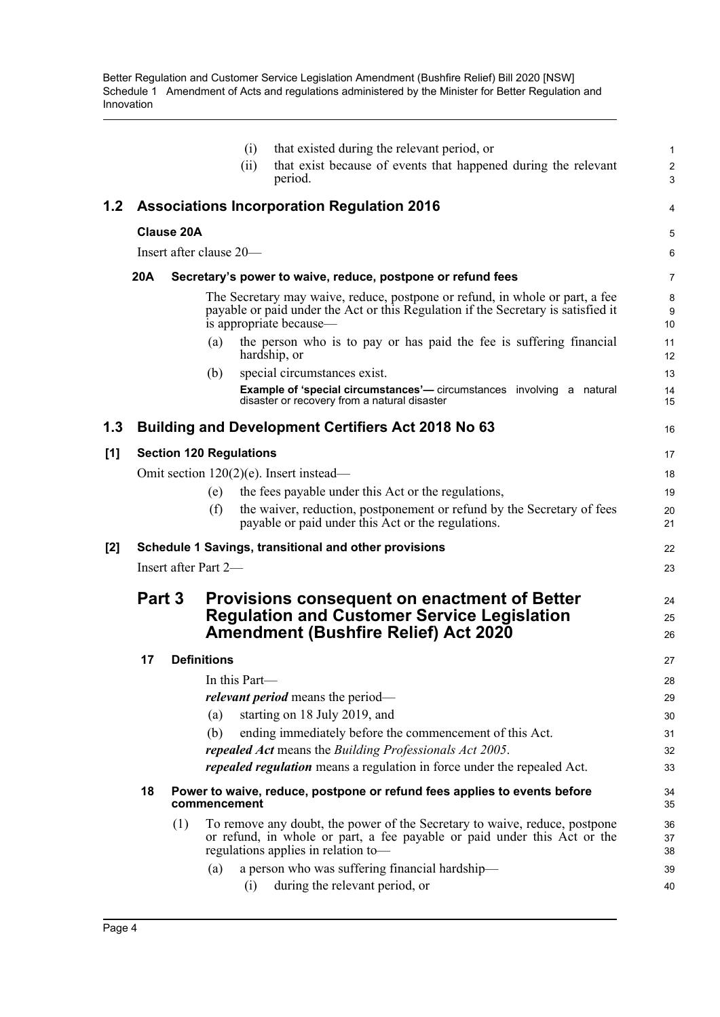|     |            |                    | (i)                            | that existed during the relevant period, or<br>that exist because of events that happened during the relevant                                                                                 | 1                            |
|-----|------------|--------------------|--------------------------------|-----------------------------------------------------------------------------------------------------------------------------------------------------------------------------------------------|------------------------------|
|     |            |                    | (ii)                           | period.                                                                                                                                                                                       | $\overline{\mathbf{c}}$<br>3 |
| 1.2 |            |                    |                                | <b>Associations Incorporation Regulation 2016</b>                                                                                                                                             | 4                            |
|     |            | <b>Clause 20A</b>  |                                |                                                                                                                                                                                               | 5                            |
|     |            |                    | Insert after clause 20-        |                                                                                                                                                                                               | 6                            |
|     | <b>20A</b> |                    |                                | Secretary's power to waive, reduce, postpone or refund fees                                                                                                                                   | 7                            |
|     |            |                    |                                | The Secretary may waive, reduce, postpone or refund, in whole or part, a fee<br>payable or paid under the Act or this Regulation if the Secretary is satisfied it<br>is appropriate because—  | 8<br>9<br>10                 |
|     |            |                    | (a)                            | the person who is to pay or has paid the fee is suffering financial<br>hardship, or                                                                                                           | 11<br>12                     |
|     |            |                    | (b)                            | special circumstances exist.                                                                                                                                                                  | 13                           |
|     |            |                    |                                | <b>Example of 'special circumstances'</b> — circumstances involving a natural<br>disaster or recovery from a natural disaster                                                                 | 14<br>15                     |
| 1.3 |            |                    |                                | <b>Building and Development Certifiers Act 2018 No 63</b>                                                                                                                                     | 16                           |
| [1] |            |                    | <b>Section 120 Regulations</b> |                                                                                                                                                                                               | 17                           |
|     |            |                    |                                | Omit section $120(2)(e)$ . Insert instead—                                                                                                                                                    | 18                           |
|     |            |                    | (e)                            | the fees payable under this Act or the regulations,                                                                                                                                           | 19                           |
|     |            |                    | (f)                            | the waiver, reduction, postponement or refund by the Secretary of fees<br>payable or paid under this Act or the regulations.                                                                  | 20<br>21                     |
| [2] |            |                    |                                | Schedule 1 Savings, transitional and other provisions                                                                                                                                         | 22                           |
|     |            |                    | Insert after Part 2—           |                                                                                                                                                                                               | 23                           |
|     | Part 3     |                    |                                | <b>Provisions consequent on enactment of Better</b><br><b>Regulation and Customer Service Legislation</b><br><b>Amendment (Bushfire Relief) Act 2020</b>                                      | 24<br>25<br>26               |
|     | 17         | <b>Definitions</b> |                                |                                                                                                                                                                                               | 27                           |
|     |            |                    | In this Part—                  |                                                                                                                                                                                               | 28                           |
|     |            |                    |                                | <i>relevant period</i> means the period—                                                                                                                                                      | 29                           |
|     |            |                    | (a)                            | starting on 18 July 2019, and                                                                                                                                                                 | 30                           |
|     |            |                    | (b)                            | ending immediately before the commencement of this Act.<br>repealed Act means the Building Professionals Act 2005.                                                                            | 31                           |
|     |            |                    |                                | repealed regulation means a regulation in force under the repealed Act.                                                                                                                       | 32<br>33                     |
|     | 18         |                    | commencement                   | Power to waive, reduce, postpone or refund fees applies to events before                                                                                                                      | 34<br>35                     |
|     |            | (1)                |                                | To remove any doubt, the power of the Secretary to waive, reduce, postpone<br>or refund, in whole or part, a fee payable or paid under this Act or the<br>regulations applies in relation to- | 36<br>37<br>38               |
|     |            |                    | (a)<br>(i)                     | a person who was suffering financial hardship-<br>during the relevant period, or                                                                                                              | 39<br>40                     |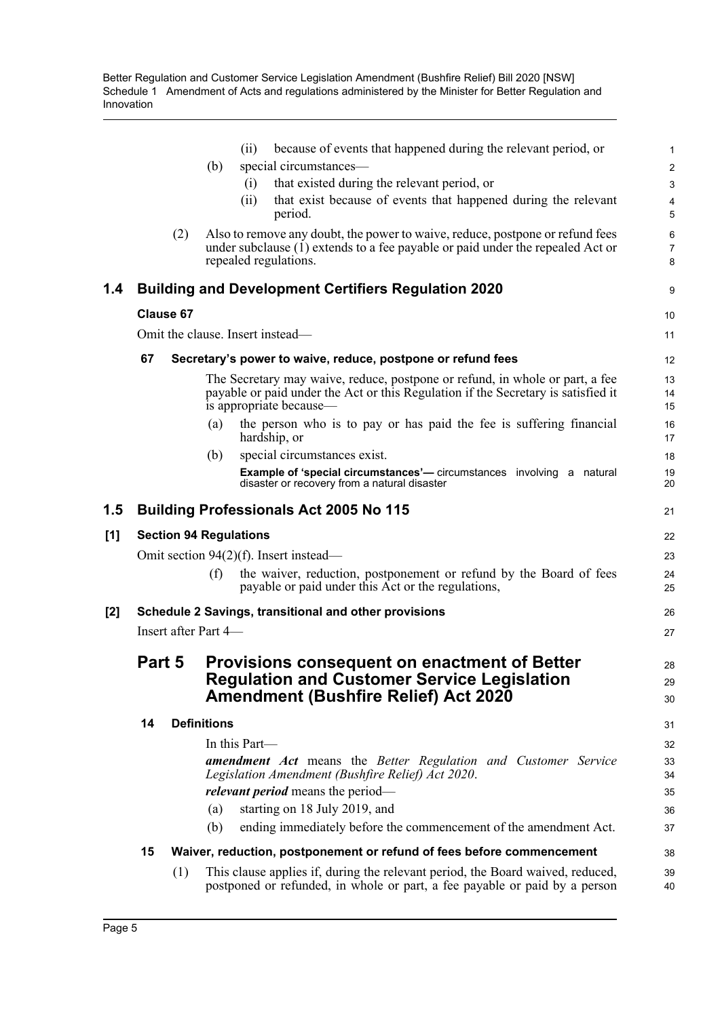|     |                  |                                                       |                    | because of events that happened during the relevant period, or<br>(i)                                                                                                                        | 1              |  |
|-----|------------------|-------------------------------------------------------|--------------------|----------------------------------------------------------------------------------------------------------------------------------------------------------------------------------------------|----------------|--|
|     |                  |                                                       | (b)                | special circumstances-                                                                                                                                                                       | $\overline{a}$ |  |
|     |                  |                                                       |                    | that existed during the relevant period, or<br>(i)                                                                                                                                           | 3              |  |
|     |                  |                                                       |                    | that exist because of events that happened during the relevant<br>(ii)<br>period.                                                                                                            | 4<br>5         |  |
|     |                  | (2)                                                   |                    | Also to remove any doubt, the power to waive, reduce, postpone or refund fees<br>under subclause $(1)$ extends to a fee payable or paid under the repealed Act or<br>repealed regulations.   | 6<br>7<br>8    |  |
| 1.4 |                  |                                                       |                    | <b>Building and Development Certifiers Regulation 2020</b>                                                                                                                                   | 9              |  |
|     | <b>Clause 67</b> |                                                       |                    |                                                                                                                                                                                              | 10             |  |
|     |                  |                                                       |                    | Omit the clause. Insert instead—                                                                                                                                                             | 11             |  |
|     | 67               |                                                       |                    | Secretary's power to waive, reduce, postpone or refund fees                                                                                                                                  | 12             |  |
|     |                  |                                                       |                    | The Secretary may waive, reduce, postpone or refund, in whole or part, a fee<br>payable or paid under the Act or this Regulation if the Secretary is satisfied it<br>is appropriate because— | 13<br>14<br>15 |  |
|     |                  |                                                       | (a)                | the person who is to pay or has paid the fee is suffering financial<br>hardship, or                                                                                                          | 16<br>17       |  |
|     |                  |                                                       | (b)                | special circumstances exist.                                                                                                                                                                 | 18             |  |
|     |                  |                                                       |                    | <b>Example of 'special circumstances'</b> — circumstances involving a natural<br>disaster or recovery from a natural disaster                                                                | 19<br>20       |  |
| 1.5 |                  |                                                       |                    | <b>Building Professionals Act 2005 No 115</b>                                                                                                                                                | 21             |  |
| [1] |                  |                                                       |                    | <b>Section 94 Regulations</b>                                                                                                                                                                | 22             |  |
|     |                  |                                                       |                    | Omit section $94(2)(f)$ . Insert instead—                                                                                                                                                    | 23             |  |
|     |                  |                                                       | (f)                | the waiver, reduction, postponement or refund by the Board of fees<br>payable or paid under this Act or the regulations,                                                                     | 24<br>25       |  |
| [2] |                  | Schedule 2 Savings, transitional and other provisions |                    |                                                                                                                                                                                              |                |  |
|     |                  | Insert after Part 4-<br>27                            |                    |                                                                                                                                                                                              |                |  |
|     | Part 5           |                                                       |                    | <b>Provisions consequent on enactment of Better</b>                                                                                                                                          | 28             |  |
|     |                  |                                                       |                    | <b>Regulation and Customer Service Legislation</b><br><b>Amendment (Bushfire Relief) Act 2020</b>                                                                                            | 29             |  |
|     | 14               |                                                       | <b>Definitions</b> |                                                                                                                                                                                              | 30<br>31       |  |
|     |                  |                                                       |                    | In this Part—                                                                                                                                                                                |                |  |
|     |                  |                                                       |                    | <b>amendment</b> Act means the Better Regulation and Customer Service                                                                                                                        | 32<br>33       |  |
|     |                  |                                                       |                    | Legislation Amendment (Bushfire Relief) Act 2020.                                                                                                                                            | 34             |  |
|     |                  |                                                       |                    | <i>relevant period</i> means the period—                                                                                                                                                     | 35             |  |
|     |                  |                                                       | (a)                | starting on 18 July 2019, and                                                                                                                                                                | 36             |  |
|     |                  |                                                       | (b)                | ending immediately before the commencement of the amendment Act.                                                                                                                             | 37             |  |
|     | 15               |                                                       |                    | Waiver, reduction, postponement or refund of fees before commencement                                                                                                                        | 38             |  |
|     |                  | (1)                                                   |                    | This clause applies if, during the relevant period, the Board waived, reduced,                                                                                                               | 39             |  |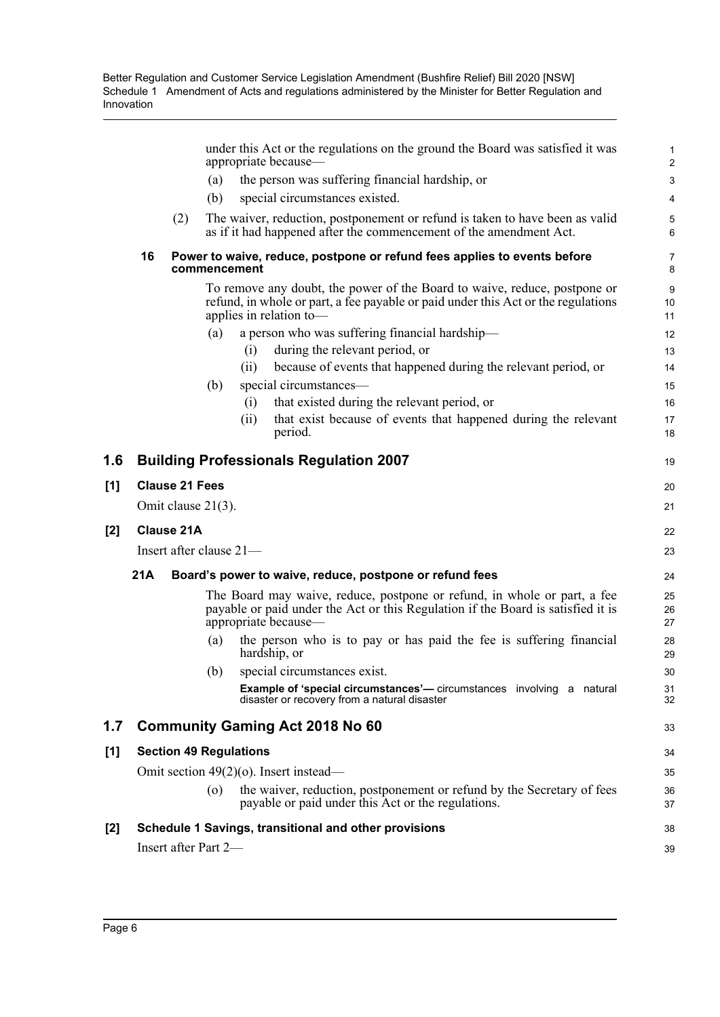|     |     |                       | under this Act or the regulations on the ground the Board was satisfied it was<br>appropriate because—                                                                                    | $\mathbf{1}$<br>$\overline{2}$ |
|-----|-----|-----------------------|-------------------------------------------------------------------------------------------------------------------------------------------------------------------------------------------|--------------------------------|
|     |     |                       | the person was suffering financial hardship, or<br>(a)                                                                                                                                    | 3                              |
|     |     |                       | special circumstances existed.<br>(b)                                                                                                                                                     | 4                              |
|     |     | (2)                   | The waiver, reduction, postponement or refund is taken to have been as valid<br>as if it had happened after the commencement of the amendment Act.                                        | 5<br>6                         |
|     | 16  |                       | Power to waive, reduce, postpone or refund fees applies to events before<br>commencement                                                                                                  | 7<br>8                         |
|     |     |                       | To remove any doubt, the power of the Board to waive, reduce, postpone or<br>refund, in whole or part, a fee payable or paid under this Act or the regulations<br>applies in relation to- | 9<br>10<br>11                  |
|     |     |                       | a person who was suffering financial hardship—<br>(a)                                                                                                                                     | 12                             |
|     |     |                       | during the relevant period, or<br>(i)                                                                                                                                                     | 13                             |
|     |     |                       | (ii)<br>because of events that happened during the relevant period, or                                                                                                                    | 14                             |
|     |     |                       | special circumstances-<br>(b)                                                                                                                                                             | 15                             |
|     |     |                       | that existed during the relevant period, or<br>(i)                                                                                                                                        | 16                             |
|     |     |                       | that exist because of events that happened during the relevant<br>(ii)<br>period.                                                                                                         | 17<br>18                       |
| 1.6 |     |                       | <b>Building Professionals Regulation 2007</b>                                                                                                                                             | 19                             |
| [1] |     | <b>Clause 21 Fees</b> |                                                                                                                                                                                           | 20                             |
|     |     | Omit clause 21(3).    |                                                                                                                                                                                           | 21                             |
| [2] |     | <b>Clause 21A</b>     |                                                                                                                                                                                           | 22                             |
|     |     |                       | Insert after clause 21-                                                                                                                                                                   | 23                             |
|     | 21A |                       | Board's power to waive, reduce, postpone or refund fees                                                                                                                                   | 24                             |
|     |     |                       | The Board may waive, reduce, postpone or refund, in whole or part, a fee<br>payable or paid under the Act or this Regulation if the Board is satisfied it is<br>appropriate because-      | 25<br>26<br>27                 |
|     |     |                       | the person who is to pay or has paid the fee is suffering financial<br>(a)<br>hardship, or                                                                                                | 28<br>29                       |
|     |     |                       | special circumstances exist.<br>(b)                                                                                                                                                       | 30                             |
|     |     |                       | <b>Example of 'special circumstances'</b> — circumstances involving a natural<br>disaster or recovery from a natural disaster                                                             | 31<br>32                       |
| 1.7 |     |                       | <b>Community Gaming Act 2018 No 60</b>                                                                                                                                                    | 33                             |
| [1] |     |                       | <b>Section 49 Regulations</b>                                                                                                                                                             | 34                             |
|     |     |                       | Omit section $49(2)(o)$ . Insert instead—                                                                                                                                                 | 35                             |
|     |     |                       | the waiver, reduction, postponement or refund by the Secretary of fees<br>$\left( 0 \right)$<br>payable or paid under this Act or the regulations.                                        | 36<br>37                       |
| [2] |     |                       | Schedule 1 Savings, transitional and other provisions                                                                                                                                     | 38                             |
|     |     |                       | Insert after Part 2-                                                                                                                                                                      | 39                             |
|     |     |                       |                                                                                                                                                                                           |                                |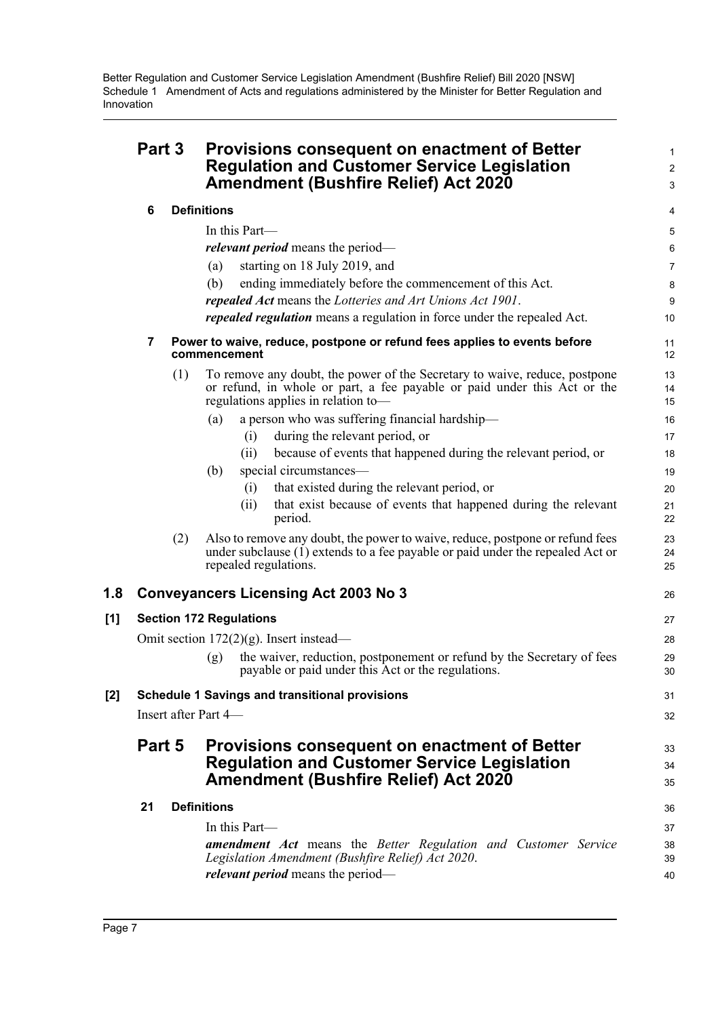|     | Part 3                         |     | <b>Provisions consequent on enactment of Better</b><br><b>Regulation and Customer Service Legislation</b><br><b>Amendment (Bushfire Relief) Act 2020</b>                                      |                |  |
|-----|--------------------------------|-----|-----------------------------------------------------------------------------------------------------------------------------------------------------------------------------------------------|----------------|--|
|     | 6                              |     | <b>Definitions</b>                                                                                                                                                                            | 4              |  |
|     |                                |     | In this Part-                                                                                                                                                                                 | 5              |  |
|     |                                |     | <i>relevant period</i> means the period-                                                                                                                                                      | 6              |  |
|     |                                |     | starting on 18 July 2019, and<br>(a)                                                                                                                                                          | $\overline{7}$ |  |
|     |                                |     | ending immediately before the commencement of this Act.<br>(b)                                                                                                                                | 8              |  |
|     |                                |     | repealed Act means the Lotteries and Art Unions Act 1901.                                                                                                                                     | 9              |  |
|     |                                |     | repealed regulation means a regulation in force under the repealed Act.                                                                                                                       | 10             |  |
|     | 7                              |     | Power to waive, reduce, postpone or refund fees applies to events before<br>commencement                                                                                                      | 11<br>12       |  |
|     |                                | (1) | To remove any doubt, the power of the Secretary to waive, reduce, postpone<br>or refund, in whole or part, a fee payable or paid under this Act or the<br>regulations applies in relation to- | 13<br>14<br>15 |  |
|     |                                |     | a person who was suffering financial hardship-<br>(a)                                                                                                                                         | 16             |  |
|     |                                |     | during the relevant period, or<br>(i)                                                                                                                                                         | 17             |  |
|     |                                |     | because of events that happened during the relevant period, or<br>(ii)                                                                                                                        | 18             |  |
|     |                                |     | special circumstances—<br>(b)                                                                                                                                                                 | 19             |  |
|     |                                |     | that existed during the relevant period, or<br>(i)                                                                                                                                            | 20             |  |
|     |                                |     | that exist because of events that happened during the relevant<br>(ii)<br>period.                                                                                                             | 21<br>22       |  |
|     |                                | (2) | Also to remove any doubt, the power to waive, reduce, postpone or refund fees<br>under subclause (1) extends to a fee payable or paid under the repealed Act or<br>repealed regulations.      | 23<br>24<br>25 |  |
| 1.8 |                                |     | <b>Conveyancers Licensing Act 2003 No 3</b>                                                                                                                                                   | 26             |  |
| [1] | <b>Section 172 Regulations</b> |     |                                                                                                                                                                                               |                |  |
|     |                                |     | Omit section $172(2)(g)$ . Insert instead—                                                                                                                                                    | 28             |  |
|     |                                |     | the waiver, reduction, postponement or refund by the Secretary of fees<br>(g)<br>payable or paid under this Act or the regulations.                                                           | 29<br>30       |  |
| [2] |                                |     | <b>Schedule 1 Savings and transitional provisions</b>                                                                                                                                         | 31             |  |
|     |                                |     | Insert after Part 4—                                                                                                                                                                          | 32             |  |
|     | Part 5                         |     | <b>Provisions consequent on enactment of Better</b><br><b>Regulation and Customer Service Legislation</b><br><b>Amendment (Bushfire Relief) Act 2020</b>                                      | 33<br>34<br>35 |  |
|     | 21                             |     | <b>Definitions</b>                                                                                                                                                                            | 36             |  |
|     |                                |     | In this Part—                                                                                                                                                                                 | 37             |  |
|     |                                |     | <b>amendment</b> Act means the Better Regulation and Customer Service<br>Legislation Amendment (Bushfire Relief) Act 2020.                                                                    | 38<br>39       |  |
|     |                                |     | <i>relevant period</i> means the period—                                                                                                                                                      | 40             |  |
|     |                                |     |                                                                                                                                                                                               |                |  |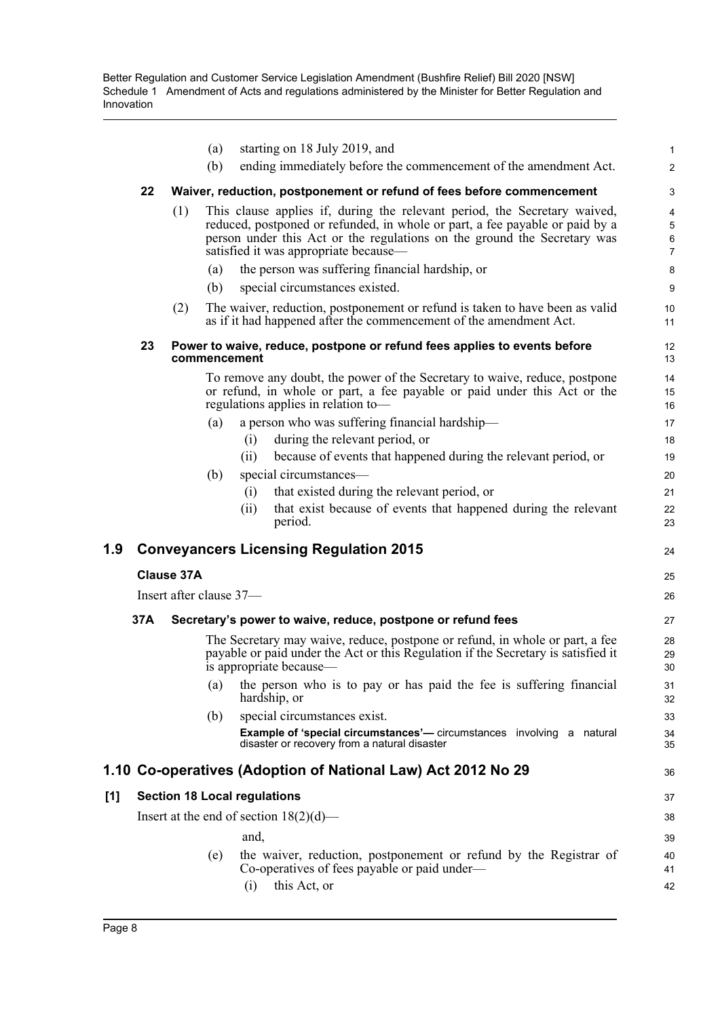|     |     |                         | (a)          | starting on 18 July 2019, and                                                                                                                                                                                                                                                  | $\mathbf{1}$                  |
|-----|-----|-------------------------|--------------|--------------------------------------------------------------------------------------------------------------------------------------------------------------------------------------------------------------------------------------------------------------------------------|-------------------------------|
|     |     |                         | (b)          | ending immediately before the commencement of the amendment Act.                                                                                                                                                                                                               | 2                             |
|     | 22  |                         |              | Waiver, reduction, postponement or refund of fees before commencement                                                                                                                                                                                                          | 3                             |
|     |     | (1)                     |              | This clause applies if, during the relevant period, the Secretary waived,<br>reduced, postponed or refunded, in whole or part, a fee payable or paid by a<br>person under this Act or the regulations on the ground the Secretary was<br>satisfied it was appropriate because— | 4<br>5<br>6<br>$\overline{7}$ |
|     |     |                         | (a)          | the person was suffering financial hardship, or                                                                                                                                                                                                                                | 8                             |
|     |     |                         | (b)          | special circumstances existed.                                                                                                                                                                                                                                                 | 9                             |
|     |     | (2)                     |              | The waiver, reduction, postponement or refund is taken to have been as valid<br>as if it had happened after the commencement of the amendment Act.                                                                                                                             | 10<br>11                      |
|     | 23  |                         | commencement | Power to waive, reduce, postpone or refund fees applies to events before                                                                                                                                                                                                       | 12<br>13                      |
|     |     |                         |              | To remove any doubt, the power of the Secretary to waive, reduce, postpone<br>or refund, in whole or part, a fee payable or paid under this Act or the<br>regulations applies in relation to-                                                                                  | 14<br>15<br>16                |
|     |     |                         | (a)          | a person who was suffering financial hardship-                                                                                                                                                                                                                                 | 17                            |
|     |     |                         |              | during the relevant period, or<br>(i)                                                                                                                                                                                                                                          | 18                            |
|     |     |                         |              | (ii)<br>because of events that happened during the relevant period, or                                                                                                                                                                                                         | 19                            |
|     |     |                         | (b)          | special circumstances—                                                                                                                                                                                                                                                         | 20                            |
|     |     |                         |              | that existed during the relevant period, or<br>(i)<br>that exist because of events that happened during the relevant<br>(ii)                                                                                                                                                   | 21<br>22                      |
|     |     |                         |              | period.                                                                                                                                                                                                                                                                        | 23                            |
| 1.9 |     |                         |              | <b>Conveyancers Licensing Regulation 2015</b>                                                                                                                                                                                                                                  | 24                            |
|     |     | <b>Clause 37A</b>       |              |                                                                                                                                                                                                                                                                                | 25                            |
|     |     | Insert after clause 37- |              |                                                                                                                                                                                                                                                                                | 26                            |
|     | 37A |                         |              | Secretary's power to waive, reduce, postpone or refund fees                                                                                                                                                                                                                    | 27                            |
|     |     |                         |              | The Secretary may waive, reduce, postpone or refund, in whole or part, a fee<br>payable or paid under the Act or this Regulation if the Secretary is satisfied it<br>is appropriate because—                                                                                   | 28<br>29<br>30                |
|     |     |                         | (a)          | the person who is to pay or has paid the fee is suffering financial<br>hardship, or                                                                                                                                                                                            | 31<br>32                      |
|     |     |                         | (b)          | special circumstances exist.                                                                                                                                                                                                                                                   | 33                            |
|     |     |                         |              | <b>Example of 'special circumstances'</b> — circumstances involving a natural<br>disaster or recovery from a natural disaster                                                                                                                                                  | 34<br>35                      |
|     |     |                         |              | 1.10 Co-operatives (Adoption of National Law) Act 2012 No 29                                                                                                                                                                                                                   | 36                            |
| [1] |     |                         |              | <b>Section 18 Local regulations</b>                                                                                                                                                                                                                                            | 37                            |
|     |     |                         |              | Insert at the end of section $18(2)(d)$ —                                                                                                                                                                                                                                      | 38                            |
|     |     |                         |              | and,                                                                                                                                                                                                                                                                           | 39                            |
|     |     |                         | (e)          | the waiver, reduction, postponement or refund by the Registrar of<br>Co-operatives of fees payable or paid under—                                                                                                                                                              | 40<br>41                      |
|     |     |                         |              | this Act, or<br>(i)                                                                                                                                                                                                                                                            | 42                            |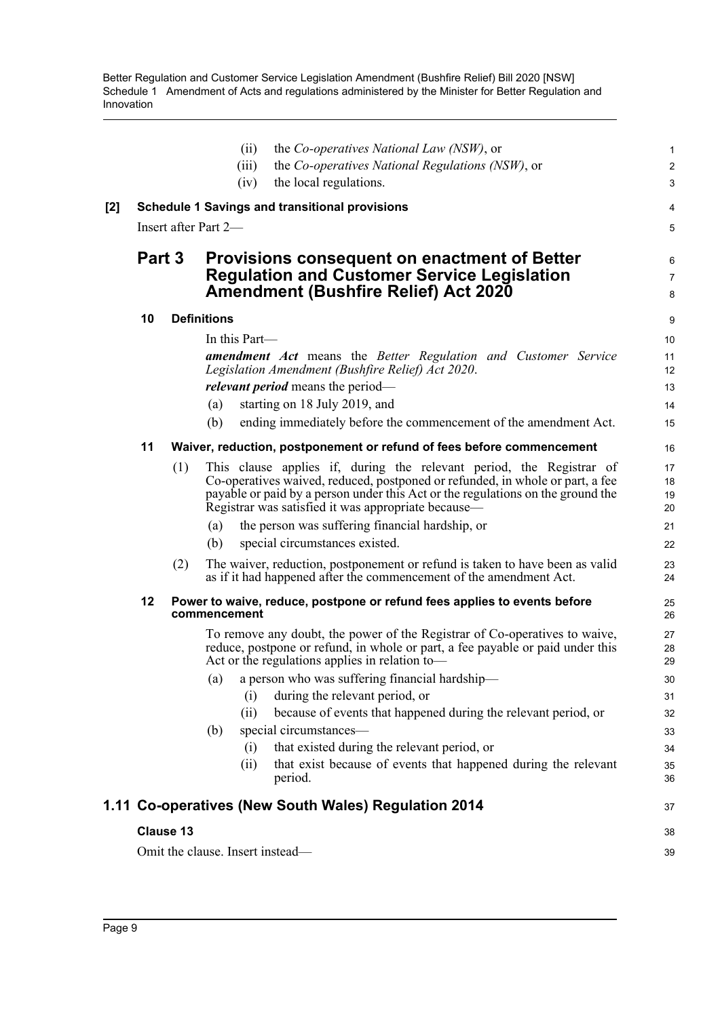|     |        |                  | the Co-operatives National Law (NSW), or<br>(ii)                                                                                                                 | 1                       |
|-----|--------|------------------|------------------------------------------------------------------------------------------------------------------------------------------------------------------|-------------------------|
|     |        |                  | the Co-operatives National Regulations (NSW), or<br>(iii)                                                                                                        | $\overline{\mathbf{c}}$ |
|     |        |                  | (iv)<br>the local regulations.                                                                                                                                   | 3                       |
| [2] |        |                  | <b>Schedule 1 Savings and transitional provisions</b>                                                                                                            | 4                       |
|     |        |                  | Insert after Part 2—                                                                                                                                             | 5                       |
|     | Part 3 |                  | <b>Provisions consequent on enactment of Better</b>                                                                                                              | 6                       |
|     |        |                  | <b>Regulation and Customer Service Legislation</b><br><b>Amendment (Bushfire Relief) Act 2020</b>                                                                | 7<br>8                  |
|     | 10     |                  | <b>Definitions</b>                                                                                                                                               | 9                       |
|     |        |                  | In this Part-                                                                                                                                                    | 10                      |
|     |        |                  | <b>amendment Act</b> means the Better Regulation and Customer Service<br>Legislation Amendment (Bushfire Relief) Act 2020.                                       | 11<br>12                |
|     |        |                  | <i>relevant period</i> means the period—                                                                                                                         | 13                      |
|     |        |                  | starting on 18 July 2019, and<br>(a)                                                                                                                             | 14                      |
|     |        |                  | (b)<br>ending immediately before the commencement of the amendment Act.                                                                                          | 15                      |
|     | 11     |                  | Waiver, reduction, postponement or refund of fees before commencement                                                                                            | 16                      |
|     |        | (1)              | This clause applies if, during the relevant period, the Registrar of                                                                                             | 17                      |
|     |        |                  | Co-operatives waived, reduced, postponed or refunded, in whole or part, a fee<br>payable or paid by a person under this Act or the regulations on the ground the | 18<br>19                |
|     |        |                  | Registrar was satisfied it was appropriate because-                                                                                                              | 20                      |
|     |        |                  | the person was suffering financial hardship, or<br>(a)                                                                                                           | 21                      |
|     |        |                  | special circumstances existed.<br>(b)                                                                                                                            | 22                      |
|     |        | (2)              | The waiver, reduction, postponement or refund is taken to have been as valid                                                                                     | 23                      |
|     |        |                  | as if it had happened after the commencement of the amendment Act.                                                                                               | 24                      |
|     | 12     |                  | Power to waive, reduce, postpone or refund fees applies to events before<br>commencement                                                                         | 25<br>26                |
|     |        |                  | To remove any doubt, the power of the Registrar of Co-operatives to waive,                                                                                       | 27                      |
|     |        |                  | reduce, postpone or refund, in whole or part, a fee payable or paid under this<br>Act or the regulations applies in relation to-                                 | 28<br>29                |
|     |        |                  | (a) a person who was suffering financial hardship—                                                                                                               | 30                      |
|     |        |                  | during the relevant period, or<br>(i)                                                                                                                            | 31                      |
|     |        |                  | (ii)<br>because of events that happened during the relevant period, or                                                                                           | 32                      |
|     |        |                  | special circumstances-<br>(b)                                                                                                                                    | 33                      |
|     |        |                  | that existed during the relevant period, or<br>(i)                                                                                                               | 34                      |
|     |        |                  | that exist because of events that happened during the relevant<br>(ii)<br>period.                                                                                | 35<br>36                |
|     |        |                  | 1.11 Co-operatives (New South Wales) Regulation 2014                                                                                                             | 37                      |
|     |        | <b>Clause 13</b> |                                                                                                                                                                  | 38                      |
|     |        |                  | Omit the clause. Insert instead-                                                                                                                                 | 39                      |
|     |        |                  |                                                                                                                                                                  |                         |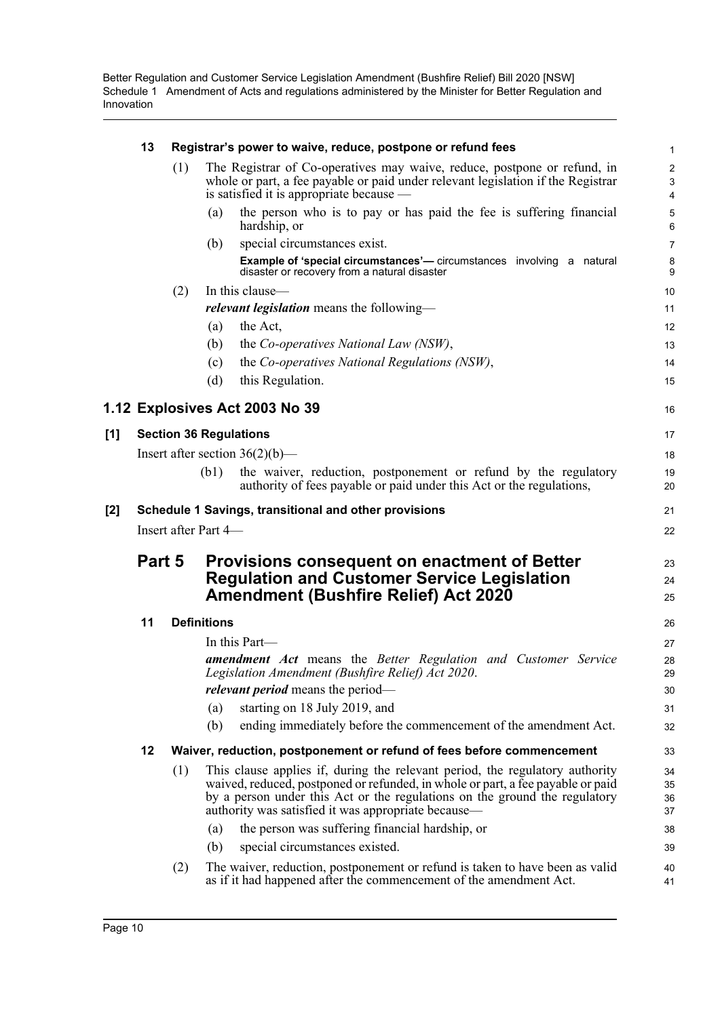|     | 13                                                    |     | Registrar's power to waive, reduce, postpone or refund fees                                                                                                                                                                                                                                          | 1                                 |  |  |
|-----|-------------------------------------------------------|-----|------------------------------------------------------------------------------------------------------------------------------------------------------------------------------------------------------------------------------------------------------------------------------------------------------|-----------------------------------|--|--|
|     |                                                       | (1) | The Registrar of Co-operatives may waive, reduce, postpone or refund, in<br>whole or part, a fee payable or paid under relevant legislation if the Registrar<br>is satisfied it is appropriate because —                                                                                             | $\overline{\mathbf{c}}$<br>3<br>4 |  |  |
|     |                                                       |     | the person who is to pay or has paid the fee is suffering financial<br>(a)<br>hardship, or                                                                                                                                                                                                           | 5<br>6                            |  |  |
|     |                                                       |     | special circumstances exist.<br>(b)                                                                                                                                                                                                                                                                  | 7                                 |  |  |
|     |                                                       |     | Example of 'special circumstances'- circumstances involving a natural<br>disaster or recovery from a natural disaster                                                                                                                                                                                | 8<br>9                            |  |  |
|     |                                                       | (2) | In this clause-                                                                                                                                                                                                                                                                                      | 10                                |  |  |
|     |                                                       |     | relevant legislation means the following-                                                                                                                                                                                                                                                            | 11                                |  |  |
|     |                                                       |     | the Act,<br>(a)                                                                                                                                                                                                                                                                                      | 12                                |  |  |
|     |                                                       |     | (b)<br>the Co-operatives National Law (NSW),                                                                                                                                                                                                                                                         | 13                                |  |  |
|     |                                                       |     | the Co-operatives National Regulations (NSW),<br>(c)                                                                                                                                                                                                                                                 | 14                                |  |  |
|     |                                                       |     | (d)<br>this Regulation.                                                                                                                                                                                                                                                                              | 15                                |  |  |
|     |                                                       |     | 1.12 Explosives Act 2003 No 39                                                                                                                                                                                                                                                                       | 16                                |  |  |
| [1] |                                                       |     | <b>Section 36 Regulations</b>                                                                                                                                                                                                                                                                        | 17                                |  |  |
|     |                                                       |     | Insert after section $36(2)(b)$ —                                                                                                                                                                                                                                                                    | 18                                |  |  |
|     |                                                       |     | (b1)<br>the waiver, reduction, postponement or refund by the regulatory<br>authority of fees payable or paid under this Act or the regulations,                                                                                                                                                      | 19<br>20                          |  |  |
| [2] | Schedule 1 Savings, transitional and other provisions |     |                                                                                                                                                                                                                                                                                                      |                                   |  |  |
|     | Insert after Part 4-                                  |     |                                                                                                                                                                                                                                                                                                      |                                   |  |  |
|     | Part 5                                                |     | Provisions consequent on enactment of Better                                                                                                                                                                                                                                                         | 23                                |  |  |
|     |                                                       |     | <b>Regulation and Customer Service Legislation</b>                                                                                                                                                                                                                                                   | 24                                |  |  |
|     |                                                       |     | <b>Amendment (Bushfire Relief) Act 2020</b>                                                                                                                                                                                                                                                          | 25                                |  |  |
|     | 11                                                    |     | <b>Definitions</b>                                                                                                                                                                                                                                                                                   | 26                                |  |  |
|     |                                                       |     | In this Part—                                                                                                                                                                                                                                                                                        | 27                                |  |  |
|     |                                                       |     | <b>amendment Act</b> means the Better Regulation and Customer Service<br>Legislation Amendment (Bushfire Relief) Act 2020.                                                                                                                                                                           | 28<br>29                          |  |  |
|     |                                                       |     | <i>relevant period</i> means the period—                                                                                                                                                                                                                                                             | 30                                |  |  |
|     |                                                       |     | starting on 18 July 2019, and<br>(a)                                                                                                                                                                                                                                                                 | 31                                |  |  |
|     |                                                       |     | ending immediately before the commencement of the amendment Act.<br>(b)                                                                                                                                                                                                                              | 32                                |  |  |
|     | 12                                                    |     | Waiver, reduction, postponement or refund of fees before commencement                                                                                                                                                                                                                                | 33                                |  |  |
|     |                                                       | (1) | This clause applies if, during the relevant period, the regulatory authority<br>waived, reduced, postponed or refunded, in whole or part, a fee payable or paid<br>by a person under this Act or the regulations on the ground the regulatory<br>authority was satisfied it was appropriate because— | 34<br>35<br>36<br>37              |  |  |
|     |                                                       |     | the person was suffering financial hardship, or<br>(a)                                                                                                                                                                                                                                               | 38                                |  |  |
|     |                                                       |     | special circumstances existed.<br>(b)                                                                                                                                                                                                                                                                | 39                                |  |  |
|     |                                                       | (2) | The waiver, reduction, postponement or refund is taken to have been as valid<br>as if it had happened after the commencement of the amendment Act.                                                                                                                                                   | 40<br>41                          |  |  |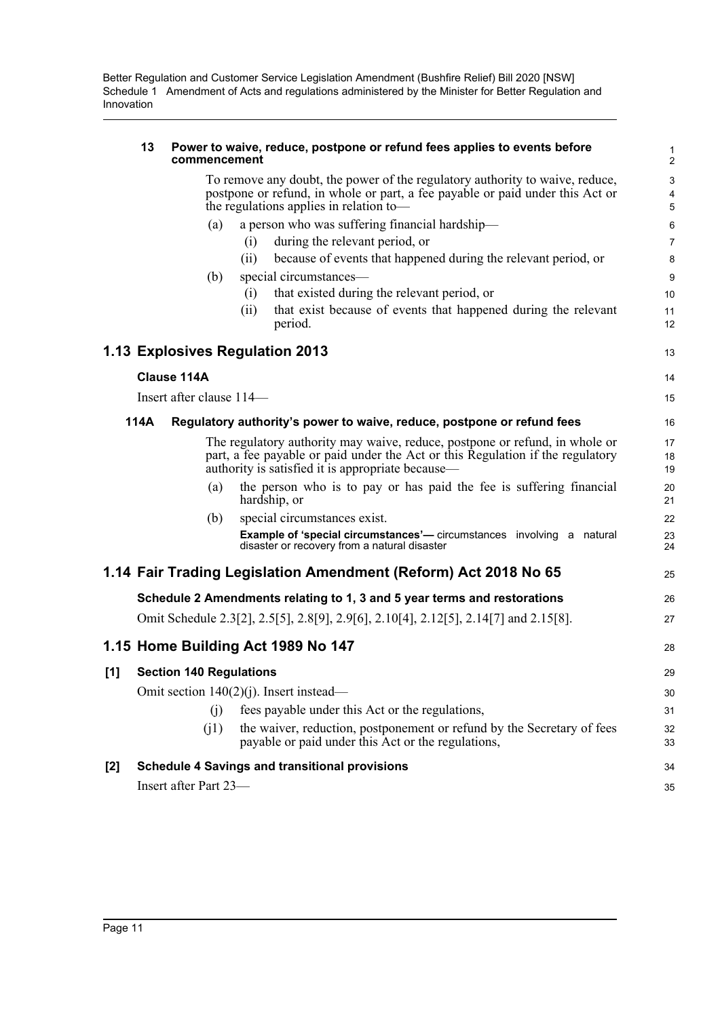|       | 13                 | commencement             | Power to waive, reduce, postpone or refund fees applies to events before                                                            | 1<br>2                    |
|-------|--------------------|--------------------------|-------------------------------------------------------------------------------------------------------------------------------------|---------------------------|
|       |                    |                          | To remove any doubt, the power of the regulatory authority to waive, reduce,                                                        | $\ensuremath{\mathsf{3}}$ |
|       |                    |                          | postpone or refund, in whole or part, a fee payable or paid under this Act or                                                       | 4                         |
|       |                    |                          | the regulations applies in relation to-                                                                                             | 5                         |
|       |                    | (a)                      | a person who was suffering financial hardship-                                                                                      | $6\phantom{1}$            |
|       |                    |                          | during the relevant period, or<br>(i)                                                                                               | $\overline{7}$            |
|       |                    |                          | because of events that happened during the relevant period, or<br>(ii)                                                              | 8                         |
|       |                    | (b)                      | special circumstances—                                                                                                              | 9                         |
|       |                    |                          | that existed during the relevant period, or<br>(i)                                                                                  | 10                        |
|       |                    |                          | that exist because of events that happened during the relevant<br>(ii)<br>period.                                                   | 11<br>12                  |
|       |                    |                          | 1.13 Explosives Regulation 2013                                                                                                     | 13                        |
|       | <b>Clause 114A</b> |                          |                                                                                                                                     | 14                        |
|       |                    | Insert after clause 114- |                                                                                                                                     | 15                        |
|       | 114A               |                          | Regulatory authority's power to waive, reduce, postpone or refund fees                                                              | 16                        |
|       |                    |                          | The regulatory authority may waive, reduce, postpone or refund, in whole or                                                         | 17                        |
|       |                    |                          | part, a fee payable or paid under the Act or this Regulation if the regulatory<br>authority is satisfied it is appropriate because— | 18<br>19                  |
|       |                    | (a)                      | the person who is to pay or has paid the fee is suffering financial                                                                 | 20                        |
|       |                    |                          | hardship, or                                                                                                                        | 21                        |
|       |                    | (b)                      | special circumstances exist.                                                                                                        | 22                        |
|       |                    |                          | <b>Example of 'special circumstances'</b> — circumstances involving a natural<br>disaster or recovery from a natural disaster       | 23<br>24                  |
|       |                    |                          | 1.14 Fair Trading Legislation Amendment (Reform) Act 2018 No 65                                                                     | 25                        |
|       |                    |                          | Schedule 2 Amendments relating to 1, 3 and 5 year terms and restorations                                                            | 26                        |
|       |                    |                          | Omit Schedule 2.3[2], 2.5[5], 2.8[9], 2.9[6], 2.10[4], 2.12[5], 2.14[7] and 2.15[8].                                                | 27                        |
|       |                    |                          | 1.15 Home Building Act 1989 No 147                                                                                                  | 28                        |
| [1]   |                    |                          | <b>Section 140 Regulations</b>                                                                                                      | 29                        |
|       |                    |                          | Omit section $140(2)(i)$ . Insert instead—                                                                                          | 30                        |
|       |                    | (j)                      | fees payable under this Act or the regulations,                                                                                     | 31                        |
|       |                    | (i1)                     | the waiver, reduction, postponement or refund by the Secretary of fees<br>payable or paid under this Act or the regulations,        | 32<br>33                  |
| $[2]$ |                    |                          | <b>Schedule 4 Savings and transitional provisions</b>                                                                               | 34                        |
|       |                    | Insert after Part 23-    |                                                                                                                                     | 35                        |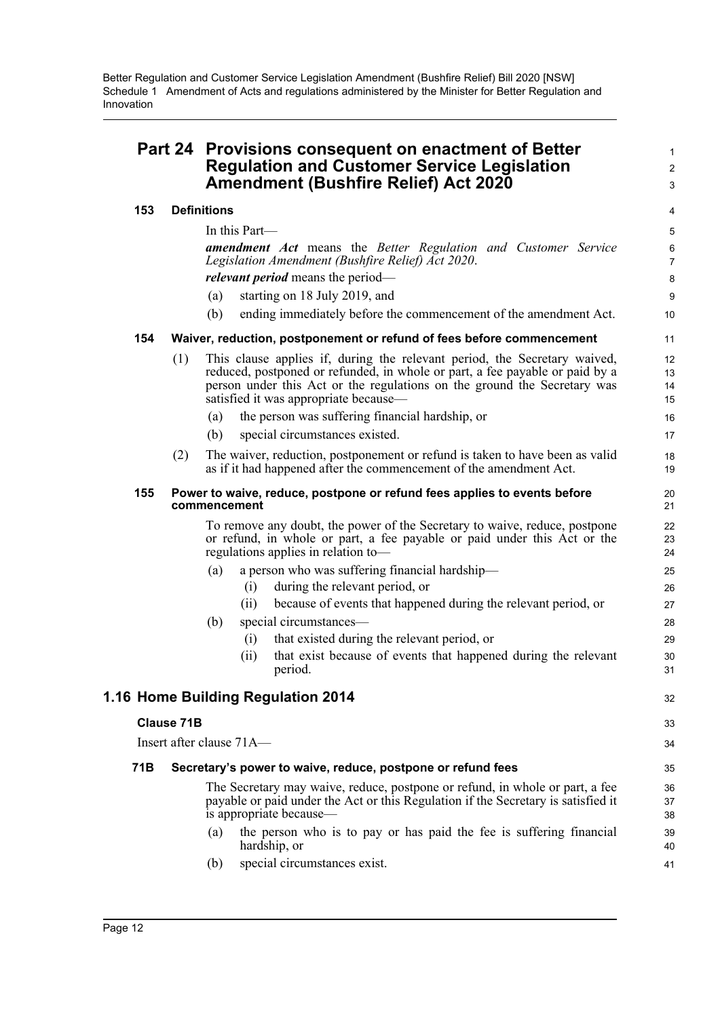|     |            | Part 24 Provisions consequent on enactment of Better<br><b>Regulation and Customer Service Legislation</b><br><b>Amendment (Bushfire Relief) Act 2020</b>                                                                                                                      |                      |  |
|-----|------------|--------------------------------------------------------------------------------------------------------------------------------------------------------------------------------------------------------------------------------------------------------------------------------|----------------------|--|
| 153 |            | <b>Definitions</b>                                                                                                                                                                                                                                                             | 4                    |  |
|     |            | In this Part—                                                                                                                                                                                                                                                                  | 5                    |  |
|     |            | <b>amendment</b> Act means the Better Regulation and Customer Service<br>Legislation Amendment (Bushfire Relief) Act 2020.                                                                                                                                                     | 6<br>$\overline{7}$  |  |
|     |            | <i>relevant period</i> means the period—                                                                                                                                                                                                                                       | 8                    |  |
|     |            | starting on 18 July 2019, and<br>(a)                                                                                                                                                                                                                                           | 9                    |  |
|     |            | (b)<br>ending immediately before the commencement of the amendment Act.                                                                                                                                                                                                        | 10                   |  |
| 154 |            | Waiver, reduction, postponement or refund of fees before commencement                                                                                                                                                                                                          | 11                   |  |
|     | (1)        | This clause applies if, during the relevant period, the Secretary waived,<br>reduced, postponed or refunded, in whole or part, a fee payable or paid by a<br>person under this Act or the regulations on the ground the Secretary was<br>satisfied it was appropriate because— | 12<br>13<br>14<br>15 |  |
|     |            | the person was suffering financial hardship, or<br>(a)                                                                                                                                                                                                                         | 16                   |  |
|     |            | special circumstances existed.<br>(b)                                                                                                                                                                                                                                          | 17                   |  |
|     | (2)        | The waiver, reduction, postponement or refund is taken to have been as valid<br>as if it had happened after the commencement of the amendment Act.                                                                                                                             | 18<br>19             |  |
| 155 |            | Power to waive, reduce, postpone or refund fees applies to events before<br>commencement                                                                                                                                                                                       | 20<br>21             |  |
|     |            | To remove any doubt, the power of the Secretary to waive, reduce, postpone<br>or refund, in whole or part, a fee payable or paid under this Act or the<br>regulations applies in relation to-                                                                                  | 22<br>23<br>24       |  |
|     |            | a person who was suffering financial hardship-<br>(a)                                                                                                                                                                                                                          | 25                   |  |
|     |            | during the relevant period, or<br>(i)                                                                                                                                                                                                                                          | 26                   |  |
|     |            | because of events that happened during the relevant period, or<br>(ii)                                                                                                                                                                                                         | 27                   |  |
|     |            | special circumstances-<br>(b)                                                                                                                                                                                                                                                  | 28                   |  |
|     |            | that existed during the relevant period, or<br>(i)                                                                                                                                                                                                                             | 29                   |  |
|     |            | that exist because of events that happened during the relevant<br>(i)<br>period.                                                                                                                                                                                               | 30<br>31             |  |
|     |            | 1.16 Home Building Regulation 2014                                                                                                                                                                                                                                             | 32                   |  |
|     | Clause 71B |                                                                                                                                                                                                                                                                                | 33                   |  |
|     |            | Insert after clause 71A-                                                                                                                                                                                                                                                       | 34                   |  |
| 71B |            | Secretary's power to waive, reduce, postpone or refund fees                                                                                                                                                                                                                    | 35                   |  |
|     |            | The Secretary may waive, reduce, postpone or refund, in whole or part, a fee<br>payable or paid under the Act or this Regulation if the Secretary is satisfied it<br>is appropriate because—                                                                                   | 36<br>37<br>38       |  |
|     |            | the person who is to pay or has paid the fee is suffering financial<br>(a)<br>hardship, or                                                                                                                                                                                     | 39<br>40             |  |
|     |            | special circumstances exist.<br>(b)                                                                                                                                                                                                                                            | 41                   |  |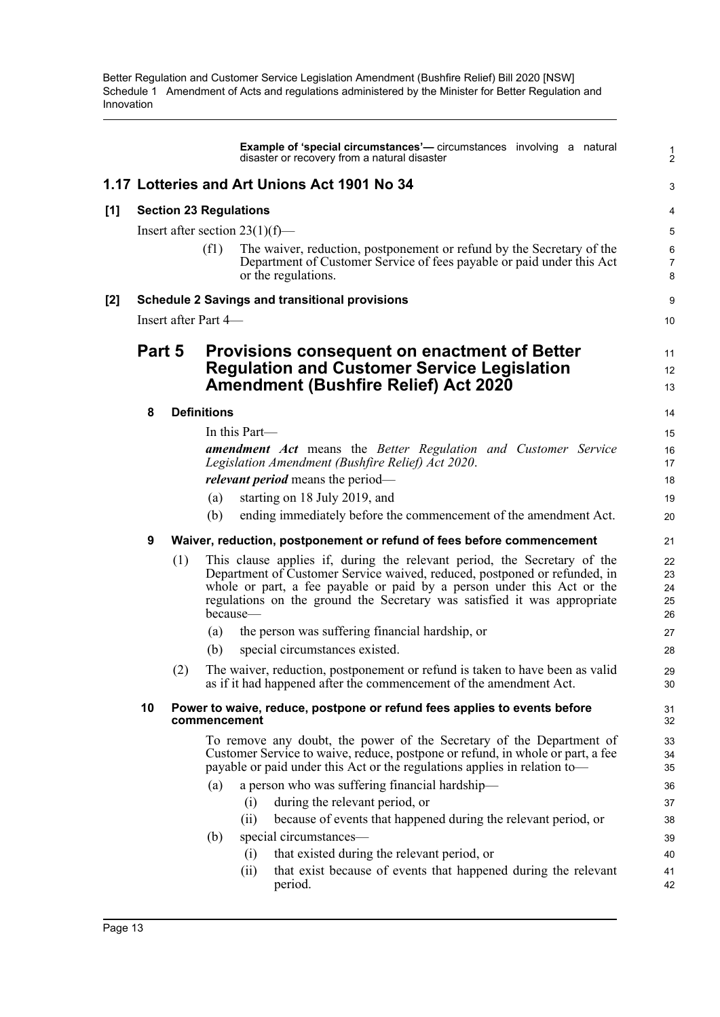|       |        |                                                                       |                                                                                          | <b>Example of 'special circumstances'</b> — circumstances involving a natural<br>disaster or recovery from a natural disaster                                                                                                                                                                               | $\frac{1}{2}$              |  |  |
|-------|--------|-----------------------------------------------------------------------|------------------------------------------------------------------------------------------|-------------------------------------------------------------------------------------------------------------------------------------------------------------------------------------------------------------------------------------------------------------------------------------------------------------|----------------------------|--|--|
|       |        |                                                                       |                                                                                          | 1.17 Lotteries and Art Unions Act 1901 No 34                                                                                                                                                                                                                                                                | 3                          |  |  |
| $[1]$ |        |                                                                       | <b>Section 23 Regulations</b>                                                            |                                                                                                                                                                                                                                                                                                             | 4                          |  |  |
|       |        |                                                                       |                                                                                          | Insert after section $23(1)(f)$ —                                                                                                                                                                                                                                                                           | 5                          |  |  |
|       |        |                                                                       | (f1)                                                                                     | The waiver, reduction, postponement or refund by the Secretary of the<br>Department of Customer Service of fees payable or paid under this Act<br>or the regulations.                                                                                                                                       | 6<br>7<br>8                |  |  |
| $[2]$ |        |                                                                       |                                                                                          | <b>Schedule 2 Savings and transitional provisions</b>                                                                                                                                                                                                                                                       | 9                          |  |  |
|       |        |                                                                       | Insert after Part 4-                                                                     |                                                                                                                                                                                                                                                                                                             | 10                         |  |  |
|       | Part 5 |                                                                       |                                                                                          | <b>Provisions consequent on enactment of Better</b><br><b>Regulation and Customer Service Legislation</b><br><b>Amendment (Bushfire Relief) Act 2020</b>                                                                                                                                                    | 11<br>12<br>13             |  |  |
|       | 8      |                                                                       | <b>Definitions</b>                                                                       |                                                                                                                                                                                                                                                                                                             |                            |  |  |
|       |        |                                                                       |                                                                                          | In this Part—                                                                                                                                                                                                                                                                                               |                            |  |  |
|       |        |                                                                       |                                                                                          | <b>amendment Act</b> means the Better Regulation and Customer Service<br>Legislation Amendment (Bushfire Relief) Act 2020.                                                                                                                                                                                  | 16<br>17                   |  |  |
|       |        |                                                                       |                                                                                          | <i>relevant period</i> means the period—                                                                                                                                                                                                                                                                    | 18                         |  |  |
|       |        |                                                                       | (a)                                                                                      | starting on 18 July 2019, and                                                                                                                                                                                                                                                                               | 19                         |  |  |
|       |        |                                                                       | (b)                                                                                      | ending immediately before the commencement of the amendment Act.                                                                                                                                                                                                                                            | 20                         |  |  |
|       | 9      | Waiver, reduction, postponement or refund of fees before commencement |                                                                                          |                                                                                                                                                                                                                                                                                                             |                            |  |  |
|       |        | (1)                                                                   | because—                                                                                 | This clause applies if, during the relevant period, the Secretary of the<br>Department of Customer Service waived, reduced, postponed or refunded, in<br>whole or part, a fee payable or paid by a person under this Act or the<br>regulations on the ground the Secretary was satisfied it was appropriate | 22<br>23<br>24<br>25<br>26 |  |  |
|       |        |                                                                       | (a)                                                                                      | the person was suffering financial hardship, or                                                                                                                                                                                                                                                             | 27                         |  |  |
|       |        |                                                                       | (b)                                                                                      | special circumstances existed.                                                                                                                                                                                                                                                                              | 28                         |  |  |
|       |        | (2)                                                                   |                                                                                          | The waiver, reduction, postponement or refund is taken to have been as valid<br>as if it had happened after the commencement of the amendment Act.                                                                                                                                                          | 29<br>30                   |  |  |
|       | 10     |                                                                       | Power to waive, reduce, postpone or refund fees applies to events before<br>commencement |                                                                                                                                                                                                                                                                                                             |                            |  |  |
|       |        |                                                                       |                                                                                          | To remove any doubt, the power of the Secretary of the Department of<br>Customer Service to waive, reduce, postpone or refund, in whole or part, a fee<br>payable or paid under this Act or the regulations applies in relation to-                                                                         | 33<br>34<br>35             |  |  |
|       |        |                                                                       | (a)                                                                                      | a person who was suffering financial hardship-<br>during the relevant period, or<br>(i)                                                                                                                                                                                                                     | 36<br>37                   |  |  |
|       |        |                                                                       |                                                                                          | because of events that happened during the relevant period, or<br>(ii)                                                                                                                                                                                                                                      | 38                         |  |  |
|       |        |                                                                       | (b)                                                                                      | special circumstances—                                                                                                                                                                                                                                                                                      | 39                         |  |  |
|       |        |                                                                       |                                                                                          | that existed during the relevant period, or<br>(i)                                                                                                                                                                                                                                                          | 40                         |  |  |
|       |        |                                                                       |                                                                                          | that exist because of events that happened during the relevant<br>(ii)<br>period.                                                                                                                                                                                                                           | 41<br>42                   |  |  |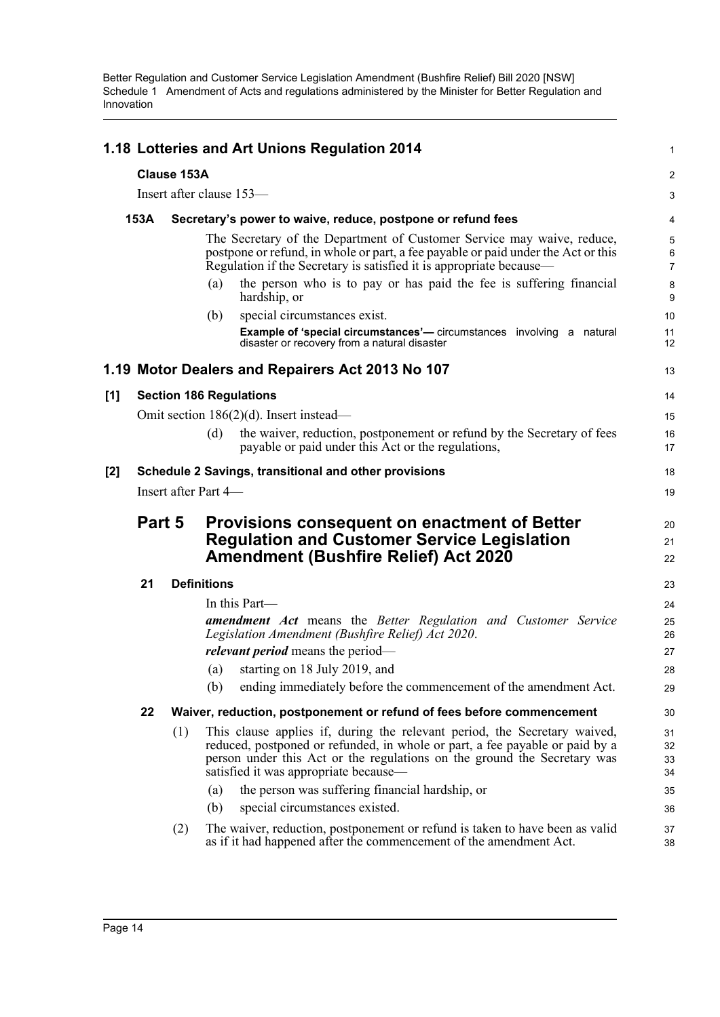|       |                                                       |             | 1.18 Lotteries and Art Unions Regulation 2014                                                                                                                                                                                                                                  | 1                                  |  |  |  |  |
|-------|-------------------------------------------------------|-------------|--------------------------------------------------------------------------------------------------------------------------------------------------------------------------------------------------------------------------------------------------------------------------------|------------------------------------|--|--|--|--|
|       |                                                       | Clause 153A |                                                                                                                                                                                                                                                                                | 2                                  |  |  |  |  |
|       |                                                       |             | Insert after clause 153-                                                                                                                                                                                                                                                       | 3                                  |  |  |  |  |
|       | 153A                                                  |             | Secretary's power to waive, reduce, postpone or refund fees                                                                                                                                                                                                                    | 4                                  |  |  |  |  |
|       |                                                       |             | The Secretary of the Department of Customer Service may waive, reduce,<br>postpone or refund, in whole or part, a fee payable or paid under the Act or this<br>Regulation if the Secretary is satisfied it is appropriate because—                                             | $\mathbf 5$<br>6<br>$\overline{7}$ |  |  |  |  |
|       |                                                       |             | the person who is to pay or has paid the fee is suffering financial<br>(a)<br>hardship, or                                                                                                                                                                                     | 8<br>9                             |  |  |  |  |
|       |                                                       |             | (b)<br>special circumstances exist.                                                                                                                                                                                                                                            | 10                                 |  |  |  |  |
|       |                                                       |             | Example of 'special circumstances'- circumstances involving a natural<br>disaster or recovery from a natural disaster                                                                                                                                                          | 11<br>12                           |  |  |  |  |
|       |                                                       |             | 1.19 Motor Dealers and Repairers Act 2013 No 107                                                                                                                                                                                                                               | 13                                 |  |  |  |  |
| [1]   |                                                       |             | <b>Section 186 Regulations</b>                                                                                                                                                                                                                                                 | 14                                 |  |  |  |  |
|       |                                                       |             | Omit section $186(2)(d)$ . Insert instead—                                                                                                                                                                                                                                     | 15                                 |  |  |  |  |
|       |                                                       |             | the waiver, reduction, postponement or refund by the Secretary of fees<br>(d)<br>payable or paid under this Act or the regulations,                                                                                                                                            | 16<br>17                           |  |  |  |  |
| $[2]$ | Schedule 2 Savings, transitional and other provisions |             |                                                                                                                                                                                                                                                                                |                                    |  |  |  |  |
|       | Insert after Part 4-                                  |             |                                                                                                                                                                                                                                                                                |                                    |  |  |  |  |
|       | Part 5                                                |             | <b>Provisions consequent on enactment of Better</b>                                                                                                                                                                                                                            | 20                                 |  |  |  |  |
|       |                                                       |             | <b>Regulation and Customer Service Legislation</b>                                                                                                                                                                                                                             | 21                                 |  |  |  |  |
|       |                                                       |             | <b>Amendment (Bushfire Relief) Act 2020</b>                                                                                                                                                                                                                                    | 22                                 |  |  |  |  |
|       | 21                                                    |             | <b>Definitions</b>                                                                                                                                                                                                                                                             | 23                                 |  |  |  |  |
|       |                                                       |             | In this Part-                                                                                                                                                                                                                                                                  | 24                                 |  |  |  |  |
|       |                                                       |             | amendment Act means the Better Regulation and Customer Service<br>Legislation Amendment (Bushfire Relief) Act 2020.                                                                                                                                                            | 25<br>26                           |  |  |  |  |
|       |                                                       |             | <i>relevant period</i> means the period—                                                                                                                                                                                                                                       | 27                                 |  |  |  |  |
|       |                                                       |             | starting on 18 July 2019, and<br>(a)<br>(b) ending immediately before the commencement of the amendment Act.                                                                                                                                                                   | 28<br>29                           |  |  |  |  |
|       |                                                       |             |                                                                                                                                                                                                                                                                                |                                    |  |  |  |  |
|       | 22                                                    |             | Waiver, reduction, postponement or refund of fees before commencement                                                                                                                                                                                                          | 30                                 |  |  |  |  |
|       |                                                       | (1)         | This clause applies if, during the relevant period, the Secretary waived,<br>reduced, postponed or refunded, in whole or part, a fee payable or paid by a<br>person under this Act or the regulations on the ground the Secretary was<br>satisfied it was appropriate because— | 31<br>32<br>33<br>34               |  |  |  |  |
|       |                                                       |             | the person was suffering financial hardship, or<br>(a)                                                                                                                                                                                                                         | 35                                 |  |  |  |  |
|       |                                                       |             | special circumstances existed.<br>(b)                                                                                                                                                                                                                                          | 36                                 |  |  |  |  |
|       |                                                       | (2)         | The waiver, reduction, postponement or refund is taken to have been as valid<br>as if it had happened after the commencement of the amendment Act.                                                                                                                             | 37<br>38                           |  |  |  |  |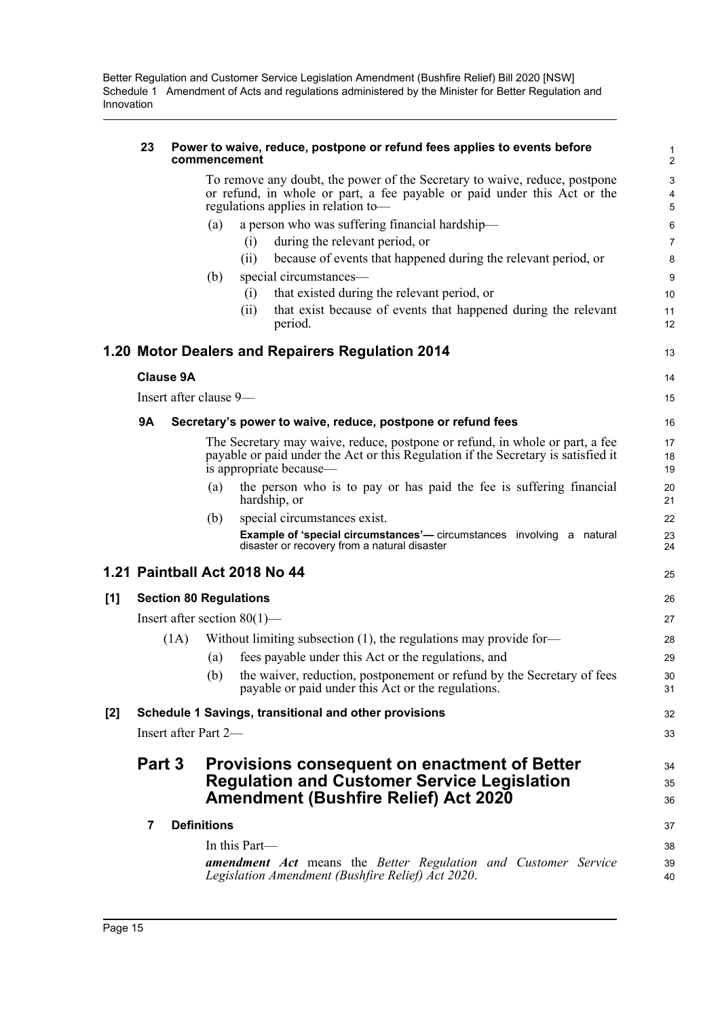#### **23 Power to waive, reduce, postpone or refund fees applies to events before commencement**

To remove any doubt, the power of the Secretary to waive, reduce, postpone or refund, in whole or part, a fee payable or paid under this Act or the regulations applies in relation to—

- (a) a person who was suffering financial hardship—
	- (i) during the relevant period, or
	- (ii) because of events that happened during the relevant period, or
- (b) special circumstances—
	- (i) that existed during the relevant period, or
	- (ii) that exist because of events that happened during the relevant period.

13

14 15

25

### **1.20 Motor Dealers and Repairers Regulation 2014**

**Clause 9A**

### **9A Secretary's power to waive, reduce, postpone or refund fees**

The Secretary may waive, reduce, postpone or refund, in whole or part, a fee payable or paid under the Act or this Regulation if the Secretary is satisfied it is appropriate because—

- (a) the person who is to pay or has paid the fee is suffering financial hardship, or
- (b) special circumstances exist. **Example of 'special circumstances'—** circumstances involving a natural disaster or recovery from a natural disaster

### **1.21 Paintball Act 2018 No 44**

#### **[1] Section 80 Regulations** Insert after section 80(1)—  $(1A)$  Without limiting subsection  $(1)$ , the regulations may provide for-(a) fees payable under this Act or the regulations, and (b) the waiver, reduction, postponement or refund by the Secretary of fees payable or paid under this Act or the regulations. **[2] Schedule 1 Savings, transitional and other provisions** Insert after Part 2— **Part 3 Provisions consequent on enactment of Better Regulation and Customer Service Legislation**  26 27 28 29 30 31 32 33 34 35

| Amendment (Bushfire Relief) Act 2020                                                                                                        |                |  |  |  |  |  |
|---------------------------------------------------------------------------------------------------------------------------------------------|----------------|--|--|--|--|--|
| <b>Definitions</b>                                                                                                                          | 37             |  |  |  |  |  |
| In this Part—<br><b>amendment Act</b> means the Better Regulation and Customer Service<br>Legislation Amendment (Bushfire Relief) Act 2020. | 38<br>39<br>40 |  |  |  |  |  |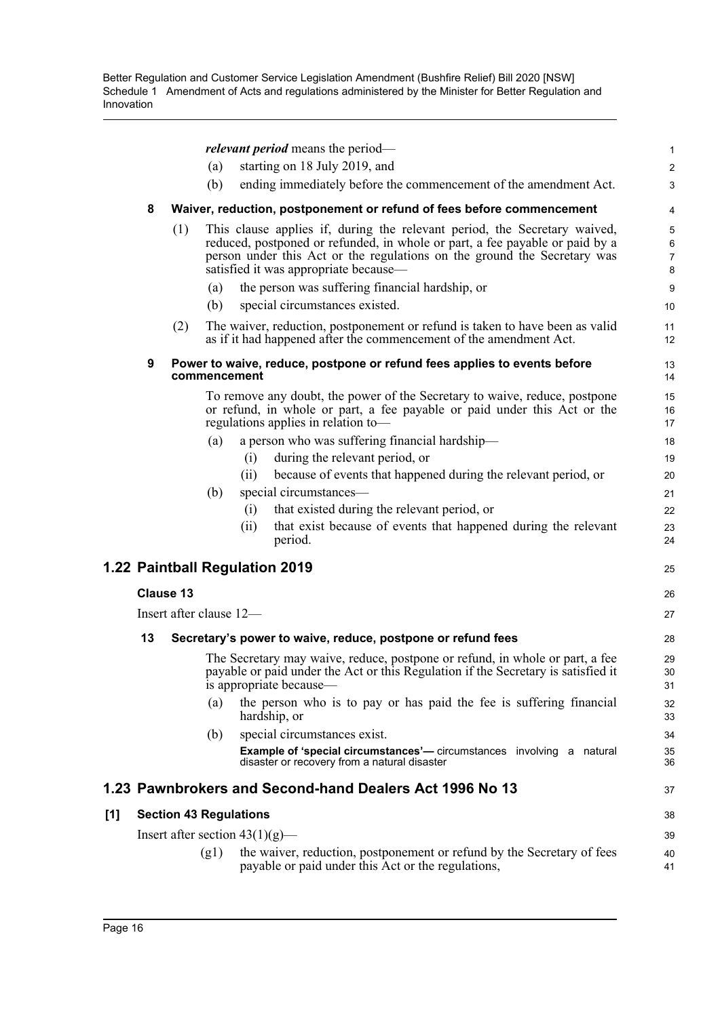|     |    |                  | <i>relevant period</i> means the period-                                                                                                                                                                                                                                       | $\mathbf{1}$                        |
|-----|----|------------------|--------------------------------------------------------------------------------------------------------------------------------------------------------------------------------------------------------------------------------------------------------------------------------|-------------------------------------|
|     |    |                  | starting on 18 July 2019, and<br>(a)                                                                                                                                                                                                                                           | $\overline{2}$                      |
|     |    |                  | (b)<br>ending immediately before the commencement of the amendment Act.                                                                                                                                                                                                        | 3                                   |
|     | 8  |                  | Waiver, reduction, postponement or refund of fees before commencement                                                                                                                                                                                                          | 4                                   |
|     |    | (1)              | This clause applies if, during the relevant period, the Secretary waived,<br>reduced, postponed or refunded, in whole or part, a fee payable or paid by a<br>person under this Act or the regulations on the ground the Secretary was<br>satisfied it was appropriate because— | 5<br>$\,6\,$<br>$\overline{7}$<br>8 |
|     |    |                  | the person was suffering financial hardship, or<br>(a)                                                                                                                                                                                                                         | 9                                   |
|     |    |                  | special circumstances existed.<br>(b)                                                                                                                                                                                                                                          | 10                                  |
|     |    | (2)              | The waiver, reduction, postponement or refund is taken to have been as valid<br>as if it had happened after the commencement of the amendment Act.                                                                                                                             | 11<br>12                            |
|     | 9  |                  | Power to waive, reduce, postpone or refund fees applies to events before<br>commencement                                                                                                                                                                                       | 13<br>14                            |
|     |    |                  | To remove any doubt, the power of the Secretary to waive, reduce, postpone<br>or refund, in whole or part, a fee payable or paid under this Act or the<br>regulations applies in relation to-                                                                                  | 15<br>16<br>17                      |
|     |    |                  | a person who was suffering financial hardship-<br>(a)                                                                                                                                                                                                                          | 18                                  |
|     |    |                  | during the relevant period, or<br>(i)                                                                                                                                                                                                                                          | 19                                  |
|     |    |                  | because of events that happened during the relevant period, or<br>(ii)                                                                                                                                                                                                         | 20                                  |
|     |    |                  | special circumstances-<br>(b)                                                                                                                                                                                                                                                  | 21                                  |
|     |    |                  | that existed during the relevant period, or<br>(i)                                                                                                                                                                                                                             | 22                                  |
|     |    |                  | that exist because of events that happened during the relevant<br>(ii)<br>period.                                                                                                                                                                                              | 23<br>24                            |
|     |    |                  | 1.22 Paintball Regulation 2019                                                                                                                                                                                                                                                 | 25                                  |
|     |    | <b>Clause 13</b> |                                                                                                                                                                                                                                                                                | 26                                  |
|     |    |                  | Insert after clause 12-                                                                                                                                                                                                                                                        | 27                                  |
|     | 13 |                  | Secretary's power to waive, reduce, postpone or refund fees                                                                                                                                                                                                                    | 28                                  |
|     |    |                  | The Secretary may waive, reduce, postpone or refund, in whole or part, a fee<br>payable or paid under the Act or this Regulation if the Secretary is satisfied it<br>is appropriate because—                                                                                   | 29<br>30<br>31                      |
|     |    |                  | the person who is to pay or has paid the fee is suffering financial<br>(a)<br>hardship, or                                                                                                                                                                                     | 32<br>33                            |
|     |    |                  | special circumstances exist.<br>(b)                                                                                                                                                                                                                                            | 34                                  |
|     |    |                  | <b>Example of 'special circumstances'</b> — circumstances involving a natural<br>disaster or recovery from a natural disaster                                                                                                                                                  | 35<br>36                            |
|     |    |                  | 1.23 Pawnbrokers and Second-hand Dealers Act 1996 No 13                                                                                                                                                                                                                        | 37                                  |
| [1] |    |                  | <b>Section 43 Regulations</b>                                                                                                                                                                                                                                                  | 38                                  |
|     |    |                  | Insert after section $43(1)(g)$ —                                                                                                                                                                                                                                              | 39                                  |
|     |    |                  | the waiver, reduction, postponement or refund by the Secretary of fees<br>(g1)<br>payable or paid under this Act or the regulations,                                                                                                                                           | 40<br>41                            |

 $[1]$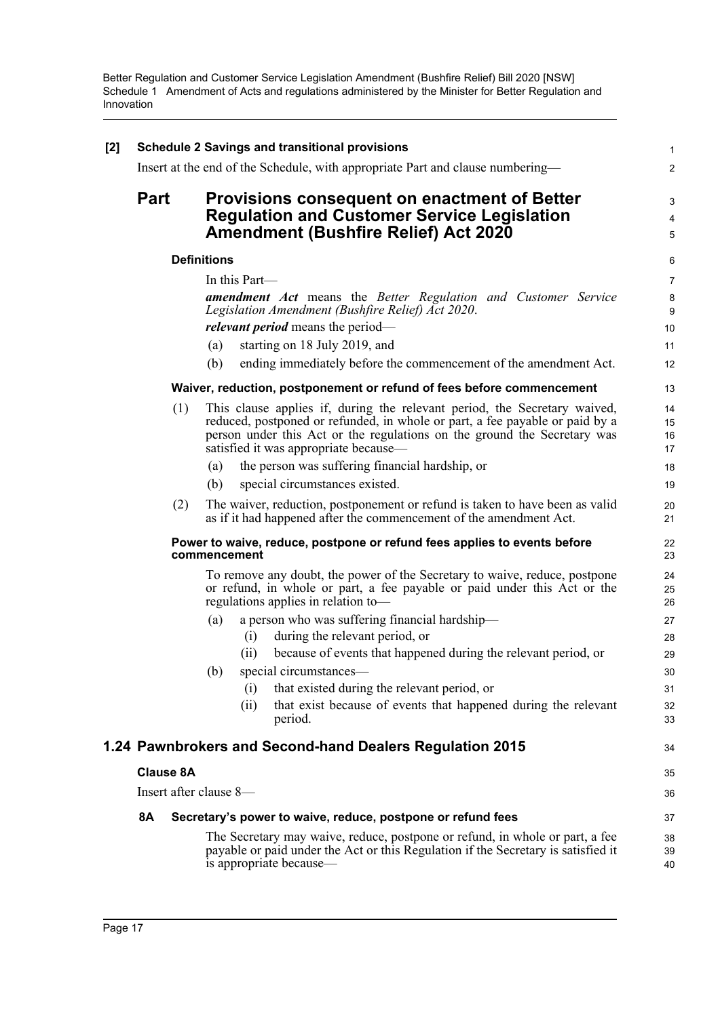| [2] | <b>Schedule 2 Savings and transitional provisions</b> |                        |                                                                                                                                                                         |                                                                                                                                                                                                                                                                                |                      |  |  |  |
|-----|-------------------------------------------------------|------------------------|-------------------------------------------------------------------------------------------------------------------------------------------------------------------------|--------------------------------------------------------------------------------------------------------------------------------------------------------------------------------------------------------------------------------------------------------------------------------|----------------------|--|--|--|
|     |                                                       |                        |                                                                                                                                                                         | Insert at the end of the Schedule, with appropriate Part and clause numbering—                                                                                                                                                                                                 | 2                    |  |  |  |
|     | <b>Part</b>                                           |                        | Provisions consequent on enactment of Better<br><b>Regulation and Customer Service Legislation</b><br><b>Amendment (Bushfire Relief) Act 2020</b><br><b>Definitions</b> |                                                                                                                                                                                                                                                                                |                      |  |  |  |
|     |                                                       |                        |                                                                                                                                                                         |                                                                                                                                                                                                                                                                                |                      |  |  |  |
|     |                                                       |                        |                                                                                                                                                                         | In this Part-                                                                                                                                                                                                                                                                  | $\overline{7}$       |  |  |  |
|     |                                                       |                        |                                                                                                                                                                         | <b>amendment Act</b> means the Better Regulation and Customer Service<br>Legislation Amendment (Bushfire Relief) Act 2020.                                                                                                                                                     | 8<br>9               |  |  |  |
|     |                                                       |                        |                                                                                                                                                                         | <i>relevant period</i> means the period—                                                                                                                                                                                                                                       | 10                   |  |  |  |
|     |                                                       |                        | (a)                                                                                                                                                                     | starting on 18 July 2019, and                                                                                                                                                                                                                                                  | 11                   |  |  |  |
|     |                                                       |                        | (b)                                                                                                                                                                     | ending immediately before the commencement of the amendment Act.                                                                                                                                                                                                               | 12                   |  |  |  |
|     |                                                       |                        |                                                                                                                                                                         | Waiver, reduction, postponement or refund of fees before commencement                                                                                                                                                                                                          | 13                   |  |  |  |
|     |                                                       | (1)                    |                                                                                                                                                                         | This clause applies if, during the relevant period, the Secretary waived,<br>reduced, postponed or refunded, in whole or part, a fee payable or paid by a<br>person under this Act or the regulations on the ground the Secretary was<br>satisfied it was appropriate because— | 14<br>15<br>16<br>17 |  |  |  |
|     |                                                       |                        | (a)                                                                                                                                                                     | the person was suffering financial hardship, or                                                                                                                                                                                                                                | 18                   |  |  |  |
|     |                                                       |                        | (b)                                                                                                                                                                     | special circumstances existed.                                                                                                                                                                                                                                                 | 19                   |  |  |  |
|     |                                                       | (2)                    |                                                                                                                                                                         | The waiver, reduction, postponement or refund is taken to have been as valid<br>as if it had happened after the commencement of the amendment Act.                                                                                                                             | 20<br>21             |  |  |  |
|     |                                                       |                        |                                                                                                                                                                         | Power to waive, reduce, postpone or refund fees applies to events before<br>commencement                                                                                                                                                                                       | 22<br>23             |  |  |  |
|     |                                                       |                        |                                                                                                                                                                         | To remove any doubt, the power of the Secretary to waive, reduce, postpone<br>or refund, in whole or part, a fee payable or paid under this Act or the<br>regulations applies in relation to-                                                                                  | 24<br>25<br>26       |  |  |  |
|     |                                                       |                        | (a)                                                                                                                                                                     | a person who was suffering financial hardship-                                                                                                                                                                                                                                 | 27                   |  |  |  |
|     |                                                       |                        |                                                                                                                                                                         | during the relevant period, or<br>(i)                                                                                                                                                                                                                                          | 28                   |  |  |  |
|     |                                                       |                        |                                                                                                                                                                         | because of events that happened during the relevant period, or<br>(i)                                                                                                                                                                                                          | 29                   |  |  |  |
|     |                                                       |                        | (b)                                                                                                                                                                     | special circumstances—                                                                                                                                                                                                                                                         | 30                   |  |  |  |
|     |                                                       |                        |                                                                                                                                                                         | that existed during the relevant period, or<br>(i)                                                                                                                                                                                                                             | 31                   |  |  |  |
|     |                                                       |                        |                                                                                                                                                                         | that exist because of events that happened during the relevant<br>(ii)<br>period.                                                                                                                                                                                              | 32<br>33             |  |  |  |
|     |                                                       |                        |                                                                                                                                                                         | 1.24 Pawnbrokers and Second-hand Dealers Regulation 2015                                                                                                                                                                                                                       | 34                   |  |  |  |
|     |                                                       | <b>Clause 8A</b>       |                                                                                                                                                                         |                                                                                                                                                                                                                                                                                | 35                   |  |  |  |
|     |                                                       | Insert after clause 8- |                                                                                                                                                                         |                                                                                                                                                                                                                                                                                | 36                   |  |  |  |
|     | <b>8A</b>                                             |                        |                                                                                                                                                                         | Secretary's power to waive, reduce, postpone or refund fees                                                                                                                                                                                                                    | 37                   |  |  |  |
|     |                                                       |                        |                                                                                                                                                                         | The Secretary may waive, reduce, postpone or refund, in whole or part, a fee<br>payable or paid under the Act or this Regulation if the Secretary is satisfied it<br>is appropriate because—                                                                                   | 38<br>39<br>40       |  |  |  |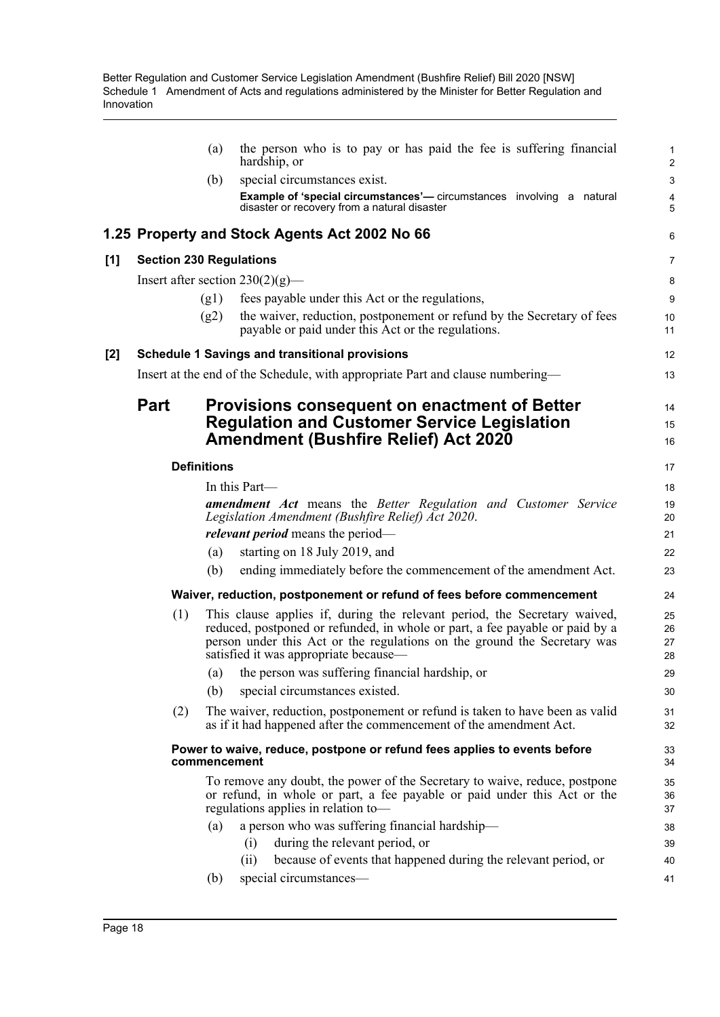|       |                                | (a)                | the person who is to pay or has paid the fee is suffering financial<br>hardship, or                                                                                                                                                                                            | 1<br>$\overline{\mathbf{c}}$ |
|-------|--------------------------------|--------------------|--------------------------------------------------------------------------------------------------------------------------------------------------------------------------------------------------------------------------------------------------------------------------------|------------------------------|
|       |                                | (b)                | special circumstances exist.                                                                                                                                                                                                                                                   | 3                            |
|       |                                |                    | <b>Example of 'special circumstances'</b> — circumstances involving a natural<br>disaster or recovery from a natural disaster                                                                                                                                                  | 4<br>5                       |
|       |                                |                    | 1.25 Property and Stock Agents Act 2002 No 66                                                                                                                                                                                                                                  | 6                            |
| [1]   | <b>Section 230 Regulations</b> |                    |                                                                                                                                                                                                                                                                                | 7                            |
|       |                                |                    | Insert after section $230(2)(g)$ —                                                                                                                                                                                                                                             | 8                            |
|       |                                | (g1)               | fees payable under this Act or the regulations,                                                                                                                                                                                                                                | 9                            |
|       |                                | (g2)               | the waiver, reduction, postponement or refund by the Secretary of fees<br>payable or paid under this Act or the regulations.                                                                                                                                                   | 10<br>11                     |
| $[2]$ |                                |                    | <b>Schedule 1 Savings and transitional provisions</b>                                                                                                                                                                                                                          | 12                           |
|       |                                |                    | Insert at the end of the Schedule, with appropriate Part and clause numbering—                                                                                                                                                                                                 | 13                           |
|       | <b>Part</b>                    |                    | <b>Provisions consequent on enactment of Better</b><br><b>Regulation and Customer Service Legislation</b><br><b>Amendment (Bushfire Relief) Act 2020</b>                                                                                                                       | 14<br>15<br>16               |
|       |                                | <b>Definitions</b> |                                                                                                                                                                                                                                                                                | 17                           |
|       |                                |                    | In this Part—                                                                                                                                                                                                                                                                  | 18                           |
|       |                                |                    | <b>amendment</b> Act means the Better Regulation and Customer Service<br>Legislation Amendment (Bushfire Relief) Act 2020.                                                                                                                                                     | 19<br>20                     |
|       |                                |                    | <i>relevant period</i> means the period—                                                                                                                                                                                                                                       | 21                           |
|       |                                | (a)                | starting on 18 July 2019, and                                                                                                                                                                                                                                                  | 22                           |
|       |                                | (b)                | ending immediately before the commencement of the amendment Act.                                                                                                                                                                                                               | 23                           |
|       |                                |                    | Waiver, reduction, postponement or refund of fees before commencement                                                                                                                                                                                                          | 24                           |
|       | (1)                            |                    | This clause applies if, during the relevant period, the Secretary waived,<br>reduced, postponed or refunded, in whole or part, a fee payable or paid by a<br>person under this Act or the regulations on the ground the Secretary was<br>satisfied it was appropriate because— | 25<br>26<br>27<br>28         |
|       |                                | (a)                | the person was suffering financial hardship, or                                                                                                                                                                                                                                | 29                           |
|       |                                | (b)                | special circumstances existed.                                                                                                                                                                                                                                                 | 30                           |
|       | (2)                            |                    | The waiver, reduction, postponement or refund is taken to have been as valid<br>as if it had happened after the commencement of the amendment Act.                                                                                                                             | 31<br>32                     |
|       |                                | commencement       | Power to waive, reduce, postpone or refund fees applies to events before                                                                                                                                                                                                       | 33<br>34                     |
|       |                                |                    | To remove any doubt, the power of the Secretary to waive, reduce, postpone<br>or refund, in whole or part, a fee payable or paid under this Act or the<br>regulations applies in relation to-                                                                                  | 35<br>36<br>37               |
|       |                                | (a)                | a person who was suffering financial hardship-                                                                                                                                                                                                                                 | 38                           |
|       |                                |                    | during the relevant period, or<br>(i)                                                                                                                                                                                                                                          | 39                           |
|       |                                |                    | because of events that happened during the relevant period, or<br>(ii)                                                                                                                                                                                                         | 40                           |
|       |                                | (b)                | special circumstances—                                                                                                                                                                                                                                                         | 41                           |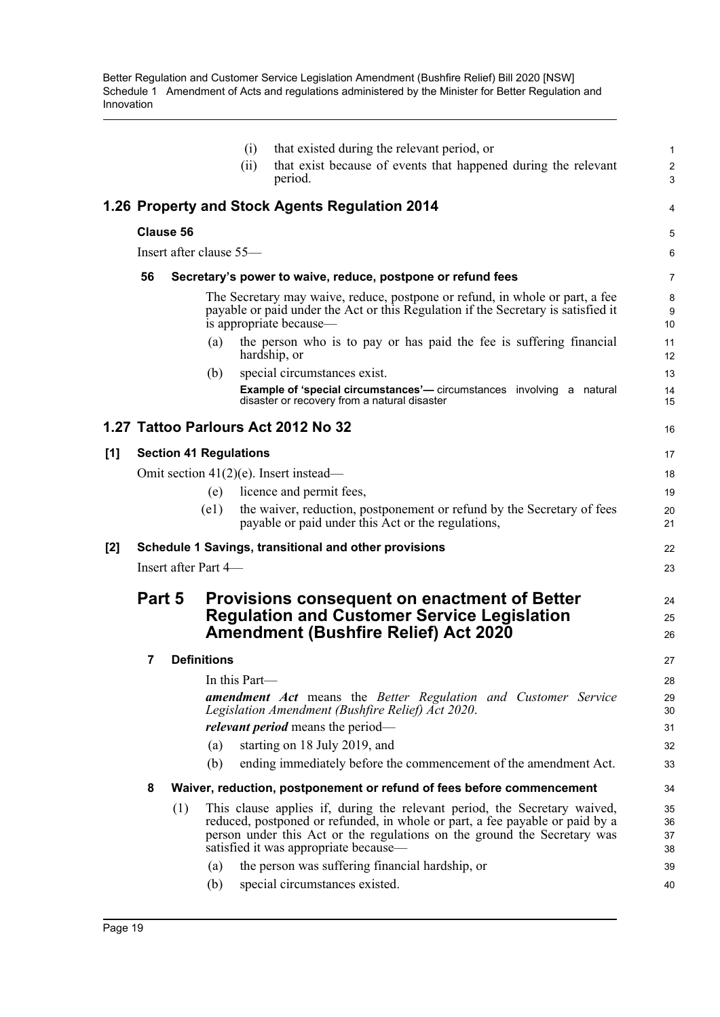|     |        |                  | (ii)                                                                                                                                                     | that existed during the relevant period, or<br>(i)<br>that exist because of events that happened during the relevant                                                                                                                                                           | 1<br>$\overline{\mathbf{c}}$ |  |
|-----|--------|------------------|----------------------------------------------------------------------------------------------------------------------------------------------------------|--------------------------------------------------------------------------------------------------------------------------------------------------------------------------------------------------------------------------------------------------------------------------------|------------------------------|--|
|     |        |                  |                                                                                                                                                          | period.                                                                                                                                                                                                                                                                        | 3                            |  |
|     |        |                  |                                                                                                                                                          | 1.26 Property and Stock Agents Regulation 2014                                                                                                                                                                                                                                 | 4                            |  |
|     |        | <b>Clause 56</b> |                                                                                                                                                          |                                                                                                                                                                                                                                                                                | 5                            |  |
|     |        |                  | Insert after clause 55-                                                                                                                                  |                                                                                                                                                                                                                                                                                | 6                            |  |
|     | 56     |                  |                                                                                                                                                          | Secretary's power to waive, reduce, postpone or refund fees                                                                                                                                                                                                                    | 7                            |  |
|     |        |                  |                                                                                                                                                          | The Secretary may waive, reduce, postpone or refund, in whole or part, a fee<br>payable or paid under the Act or this Regulation if the Secretary is satisfied it<br>is appropriate because—                                                                                   | 8<br>9<br>10                 |  |
|     |        |                  | (a)                                                                                                                                                      | the person who is to pay or has paid the fee is suffering financial<br>hardship, or                                                                                                                                                                                            | 11<br>12                     |  |
|     |        |                  | (b)                                                                                                                                                      | special circumstances exist.                                                                                                                                                                                                                                                   | 13                           |  |
|     |        |                  |                                                                                                                                                          | <b>Example of 'special circumstances'</b> — circumstances involving a natural<br>disaster or recovery from a natural disaster                                                                                                                                                  | 14<br>15                     |  |
|     |        |                  |                                                                                                                                                          | 1.27 Tattoo Parlours Act 2012 No 32                                                                                                                                                                                                                                            | 16                           |  |
| [1] |        |                  | <b>Section 41 Regulations</b>                                                                                                                            |                                                                                                                                                                                                                                                                                | 17                           |  |
|     |        |                  |                                                                                                                                                          | Omit section $41(2)(e)$ . Insert instead—                                                                                                                                                                                                                                      | 18                           |  |
|     |        |                  | (e)                                                                                                                                                      | licence and permit fees,                                                                                                                                                                                                                                                       | 19                           |  |
|     |        |                  | (e1)                                                                                                                                                     | the waiver, reduction, postponement or refund by the Secretary of fees<br>payable or paid under this Act or the regulations,                                                                                                                                                   | 20<br>21                     |  |
| [2] |        |                  |                                                                                                                                                          | Schedule 1 Savings, transitional and other provisions                                                                                                                                                                                                                          | 22                           |  |
|     |        |                  | Insert after Part 4—                                                                                                                                     |                                                                                                                                                                                                                                                                                | 23                           |  |
|     | Part 5 |                  | <b>Provisions consequent on enactment of Better</b><br><b>Regulation and Customer Service Legislation</b><br><b>Amendment (Bushfire Relief) Act 2020</b> |                                                                                                                                                                                                                                                                                |                              |  |
|     | 7      |                  | <b>Definitions</b>                                                                                                                                       |                                                                                                                                                                                                                                                                                | 27                           |  |
|     |        |                  | In this Part—                                                                                                                                            |                                                                                                                                                                                                                                                                                | 28                           |  |
|     |        |                  |                                                                                                                                                          | <b>amendment Act</b> means the Better Regulation and Customer Service<br>Legislation Amendment (Bushfire Relief) Act 2020.                                                                                                                                                     | 29<br>30                     |  |
|     |        |                  |                                                                                                                                                          | <i>relevant period</i> means the period-                                                                                                                                                                                                                                       | 31                           |  |
|     |        |                  | (a)                                                                                                                                                      | starting on 18 July 2019, and                                                                                                                                                                                                                                                  | 32                           |  |
|     |        |                  | (b)                                                                                                                                                      | ending immediately before the commencement of the amendment Act.                                                                                                                                                                                                               | 33                           |  |
|     | 8      |                  |                                                                                                                                                          | Waiver, reduction, postponement or refund of fees before commencement                                                                                                                                                                                                          | 34                           |  |
|     |        | (1)              |                                                                                                                                                          | This clause applies if, during the relevant period, the Secretary waived,<br>reduced, postponed or refunded, in whole or part, a fee payable or paid by a<br>person under this Act or the regulations on the ground the Secretary was<br>satisfied it was appropriate because- | 35<br>36<br>37<br>38         |  |
|     |        |                  | (a)                                                                                                                                                      | the person was suffering financial hardship, or                                                                                                                                                                                                                                | 39                           |  |
|     |        |                  | (b)                                                                                                                                                      | special circumstances existed.                                                                                                                                                                                                                                                 | 40                           |  |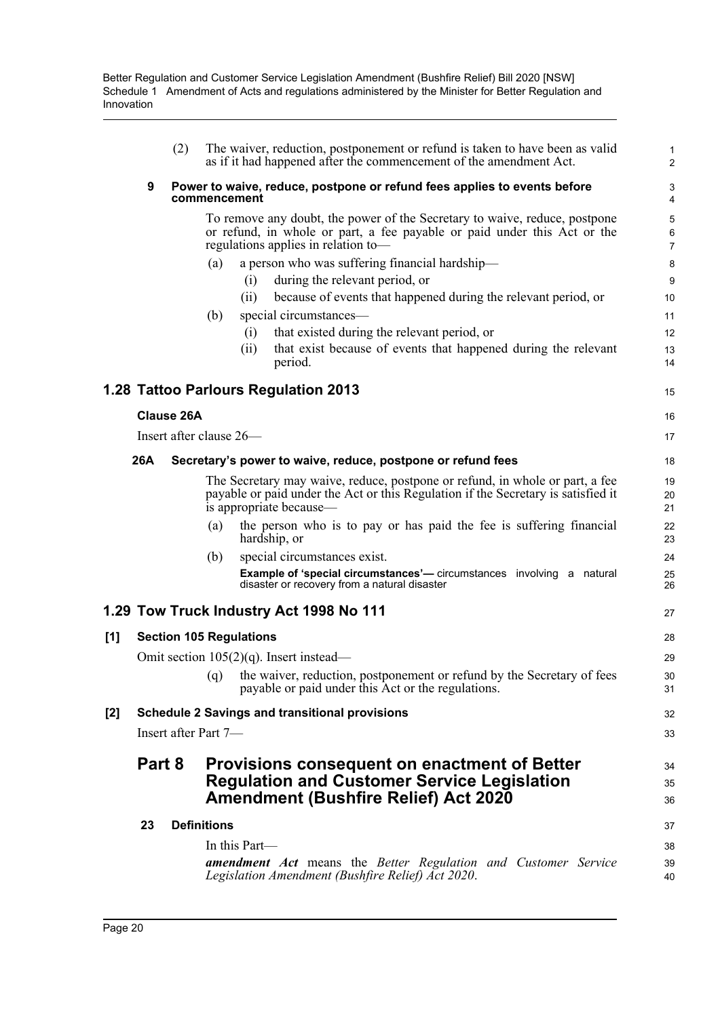|       |        | (2)               | The waiver, reduction, postponement or refund is taken to have been as valid<br>as if it had happened after the commencement of the amendment Act.                                                                                                 | 1<br>$\overline{a}$        |
|-------|--------|-------------------|----------------------------------------------------------------------------------------------------------------------------------------------------------------------------------------------------------------------------------------------------|----------------------------|
|       | 9      |                   | Power to waive, reduce, postpone or refund fees applies to events before<br>commencement                                                                                                                                                           | 3<br>4                     |
|       |        |                   | To remove any doubt, the power of the Secretary to waive, reduce, postpone<br>or refund, in whole or part, a fee payable or paid under this Act or the<br>regulations applies in relation to-                                                      | 5<br>6<br>$\overline{7}$   |
|       |        |                   | a person who was suffering financial hardship-<br>(a)<br>during the relevant period, or<br>(i)                                                                                                                                                     | 8<br>9                     |
|       |        |                   | because of events that happened during the relevant period, or<br>(ii)<br>special circumstances—<br>(b)<br>that existed during the relevant period, or<br>(i)<br>that exist because of events that happened during the relevant<br>(ii)<br>period. | 10<br>11<br>12<br>13<br>14 |
|       |        |                   | 1.28 Tattoo Parlours Regulation 2013                                                                                                                                                                                                               | 15                         |
|       |        | <b>Clause 26A</b> |                                                                                                                                                                                                                                                    | 16                         |
|       |        |                   | Insert after clause 26-                                                                                                                                                                                                                            | 17                         |
|       | 26A    |                   | Secretary's power to waive, reduce, postpone or refund fees                                                                                                                                                                                        | 18                         |
|       |        |                   | The Secretary may waive, reduce, postpone or refund, in whole or part, a fee<br>payable or paid under the Act or this Regulation if the Secretary is satisfied it<br>is appropriate because—                                                       | 19<br>20<br>21             |
|       |        |                   | the person who is to pay or has paid the fee is suffering financial<br>(a)<br>hardship, or                                                                                                                                                         | 22<br>23                   |
|       |        |                   | special circumstances exist.<br>(b)<br><b>Example of 'special circumstances'</b> — circumstances involving a natural<br>disaster or recovery from a natural disaster                                                                               | 24<br>25<br>26             |
|       |        |                   | 1.29 Tow Truck Industry Act 1998 No 111                                                                                                                                                                                                            | 27                         |
| [1]   |        |                   | <b>Section 105 Regulations</b>                                                                                                                                                                                                                     | 28                         |
|       |        |                   | Omit section $105(2)(q)$ . Insert instead—                                                                                                                                                                                                         | 29                         |
|       |        |                   | the waiver, reduction, postponement or refund by the Secretary of fees<br>(q)<br>payable or paid under this Act or the regulations.                                                                                                                | 30<br>31                   |
| $[2]$ |        |                   | <b>Schedule 2 Savings and transitional provisions</b>                                                                                                                                                                                              | 32                         |
|       |        |                   | Insert after Part 7—                                                                                                                                                                                                                               | 33                         |
|       | Part 8 |                   | <b>Provisions consequent on enactment of Better</b><br><b>Regulation and Customer Service Legislation</b><br><b>Amendment (Bushfire Relief) Act 2020</b>                                                                                           | 34<br>35<br>36             |
|       | 23     |                   | <b>Definitions</b>                                                                                                                                                                                                                                 | 37                         |
|       |        |                   | In this Part—<br><b>amendment</b> Act means the Better Regulation and Customer Service<br>Legislation Amendment (Bushfire Relief) Act 2020.                                                                                                        | 38<br>39<br>40             |
|       |        |                   |                                                                                                                                                                                                                                                    |                            |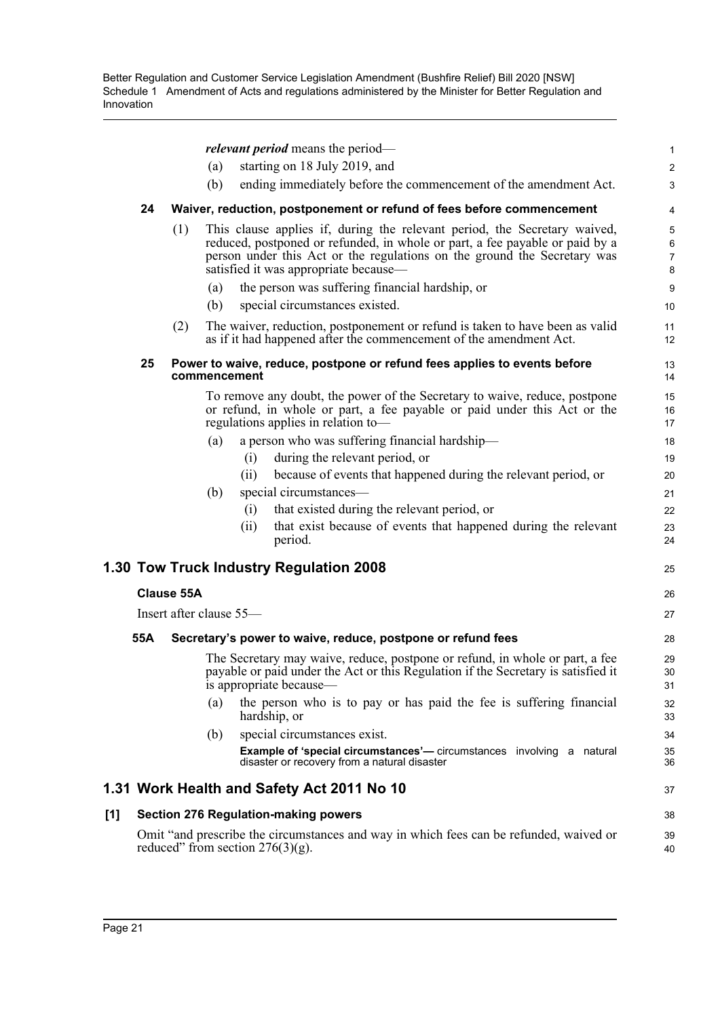|     |                                                                                                                               |                   | <i>relevant period</i> means the period—                                                                                                                                                                                              | $\mathbf{1}$                   |  |  |  |
|-----|-------------------------------------------------------------------------------------------------------------------------------|-------------------|---------------------------------------------------------------------------------------------------------------------------------------------------------------------------------------------------------------------------------------|--------------------------------|--|--|--|
|     |                                                                                                                               |                   | starting on 18 July 2019, and<br>(a)                                                                                                                                                                                                  | $\overline{c}$                 |  |  |  |
|     |                                                                                                                               |                   | (b)<br>ending immediately before the commencement of the amendment Act.                                                                                                                                                               | 3                              |  |  |  |
|     | 24                                                                                                                            |                   | Waiver, reduction, postponement or refund of fees before commencement                                                                                                                                                                 | 4                              |  |  |  |
|     |                                                                                                                               | (1)               | This clause applies if, during the relevant period, the Secretary waived,<br>reduced, postponed or refunded, in whole or part, a fee payable or paid by a<br>person under this Act or the regulations on the ground the Secretary was | 5<br>$\,6\,$<br>$\overline{7}$ |  |  |  |
|     |                                                                                                                               |                   | satisfied it was appropriate because—                                                                                                                                                                                                 | 8                              |  |  |  |
|     |                                                                                                                               |                   | the person was suffering financial hardship, or<br>(a)                                                                                                                                                                                | 9                              |  |  |  |
|     |                                                                                                                               |                   | special circumstances existed.<br>(b)                                                                                                                                                                                                 | 10                             |  |  |  |
|     |                                                                                                                               | (2)               | The waiver, reduction, postponement or refund is taken to have been as valid<br>as if it had happened after the commencement of the amendment Act.                                                                                    | 11<br>12                       |  |  |  |
|     | 25                                                                                                                            |                   | Power to waive, reduce, postpone or refund fees applies to events before<br>commencement                                                                                                                                              | 13<br>14                       |  |  |  |
|     |                                                                                                                               |                   | To remove any doubt, the power of the Secretary to waive, reduce, postpone<br>or refund, in whole or part, a fee payable or paid under this Act or the<br>regulations applies in relation to-                                         | 15<br>16<br>17                 |  |  |  |
|     |                                                                                                                               |                   | a person who was suffering financial hardship-<br>(a)                                                                                                                                                                                 | 18                             |  |  |  |
|     |                                                                                                                               |                   | during the relevant period, or<br>(i)                                                                                                                                                                                                 | 19                             |  |  |  |
|     |                                                                                                                               |                   | because of events that happened during the relevant period, or<br>(ii)                                                                                                                                                                | 20                             |  |  |  |
|     |                                                                                                                               |                   | special circumstances—<br>(b)                                                                                                                                                                                                         | 21                             |  |  |  |
|     |                                                                                                                               |                   | that existed during the relevant period, or<br>(i)                                                                                                                                                                                    | 22                             |  |  |  |
|     |                                                                                                                               |                   | that exist because of events that happened during the relevant<br>(ii)<br>period.                                                                                                                                                     | 23<br>24                       |  |  |  |
|     |                                                                                                                               |                   | 1.30 Tow Truck Industry Regulation 2008                                                                                                                                                                                               | 25                             |  |  |  |
|     |                                                                                                                               | <b>Clause 55A</b> |                                                                                                                                                                                                                                       | 26                             |  |  |  |
|     |                                                                                                                               |                   | Insert after clause 55-                                                                                                                                                                                                               | 27                             |  |  |  |
|     | 55A                                                                                                                           |                   | Secretary's power to waive, reduce, postpone or refund fees                                                                                                                                                                           | 28                             |  |  |  |
|     |                                                                                                                               |                   | The Secretary may waive, reduce, postpone or refund, in whole or part, a fee<br>payable or paid under the Act or this Regulation if the Secretary is satisfied it<br>is appropriate because-                                          | 29<br>30<br>31                 |  |  |  |
|     |                                                                                                                               |                   | the person who is to pay or has paid the fee is suffering financial<br>(a)<br>hardship, or                                                                                                                                            | 32<br>33                       |  |  |  |
|     |                                                                                                                               |                   | special circumstances exist.<br>(b)                                                                                                                                                                                                   | 34                             |  |  |  |
|     |                                                                                                                               |                   | <b>Example of 'special circumstances'</b> — circumstances involving a natural<br>disaster or recovery from a natural disaster                                                                                                         | 35<br>36                       |  |  |  |
|     |                                                                                                                               |                   | 1.31 Work Health and Safety Act 2011 No 10                                                                                                                                                                                            | 37                             |  |  |  |
| [1] |                                                                                                                               |                   | <b>Section 276 Regulation-making powers</b>                                                                                                                                                                                           | 38                             |  |  |  |
|     | Omit "and prescribe the circumstances and way in which fees can be refunded, waived or<br>reduced" from section $276(3)(g)$ . |                   |                                                                                                                                                                                                                                       |                                |  |  |  |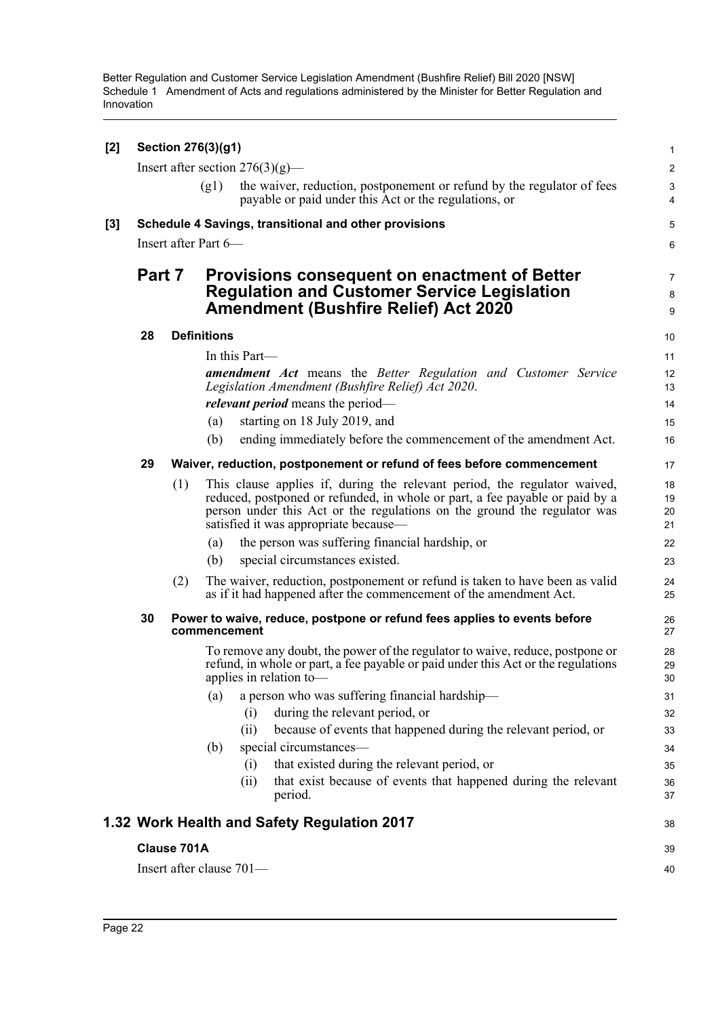| [2] | Section 276(3)(g1) |     |                          |                                                                                                                                                                                                                                                                                |                      |  |  |
|-----|--------------------|-----|--------------------------|--------------------------------------------------------------------------------------------------------------------------------------------------------------------------------------------------------------------------------------------------------------------------------|----------------------|--|--|
|     |                    |     |                          | Insert after section $276(3)(g)$ —                                                                                                                                                                                                                                             | $\overline{c}$       |  |  |
|     |                    |     | (g1)                     | the waiver, reduction, postponement or refund by the regulator of fees<br>payable or paid under this Act or the regulations, or                                                                                                                                                | $\sqrt{3}$<br>4      |  |  |
| [3] |                    |     |                          | Schedule 4 Savings, transitional and other provisions                                                                                                                                                                                                                          | 5                    |  |  |
|     |                    |     | Insert after Part 6-     |                                                                                                                                                                                                                                                                                | 6                    |  |  |
|     | Part 7             |     |                          | <b>Provisions consequent on enactment of Better</b><br><b>Regulation and Customer Service Legislation</b><br><b>Amendment (Bushfire Relief) Act 2020</b>                                                                                                                       | 7<br>8<br>9          |  |  |
|     | 28                 |     | <b>Definitions</b>       |                                                                                                                                                                                                                                                                                | 10                   |  |  |
|     |                    |     |                          | In this Part—                                                                                                                                                                                                                                                                  | 11                   |  |  |
|     |                    |     |                          | <b>amendment</b> Act means the Better Regulation and Customer Service<br>Legislation Amendment (Bushfire Relief) Act 2020.                                                                                                                                                     | 12<br>13             |  |  |
|     |                    |     |                          | <i>relevant period</i> means the period—                                                                                                                                                                                                                                       | 14                   |  |  |
|     |                    |     | (a)                      | starting on 18 July 2019, and                                                                                                                                                                                                                                                  | 15                   |  |  |
|     |                    |     | (b)                      | ending immediately before the commencement of the amendment Act.                                                                                                                                                                                                               | 16                   |  |  |
|     | 29                 |     |                          | Waiver, reduction, postponement or refund of fees before commencement                                                                                                                                                                                                          | 17                   |  |  |
|     |                    | (1) |                          | This clause applies if, during the relevant period, the regulator waived,<br>reduced, postponed or refunded, in whole or part, a fee payable or paid by a<br>person under this Act or the regulations on the ground the regulator was<br>satisfied it was appropriate because- | 18<br>19<br>20<br>21 |  |  |
|     |                    |     | (a)                      | the person was suffering financial hardship, or                                                                                                                                                                                                                                | 22                   |  |  |
|     |                    |     | (b)                      | special circumstances existed.                                                                                                                                                                                                                                                 | 23                   |  |  |
|     |                    | (2) |                          | The waiver, reduction, postponement or refund is taken to have been as valid<br>as if it had happened after the commencement of the amendment Act.                                                                                                                             | 24<br>25             |  |  |
|     | 30                 |     | commencement             | Power to waive, reduce, postpone or refund fees applies to events before                                                                                                                                                                                                       | 26<br>27             |  |  |
|     |                    |     |                          | To remove any doubt, the power of the regulator to waive, reduce, postpone or<br>refund, in whole or part, a fee payable or paid under this Act or the regulations<br>applies in relation to-                                                                                  | 28<br>29<br>30       |  |  |
|     |                    |     | (a)                      | a person who was suffering financial hardship-                                                                                                                                                                                                                                 | 31                   |  |  |
|     |                    |     |                          | during the relevant period, or<br>(i)                                                                                                                                                                                                                                          | 32                   |  |  |
|     |                    |     |                          | because of events that happened during the relevant period, or<br>(ii)                                                                                                                                                                                                         | 33                   |  |  |
|     |                    |     | (b)                      | special circumstances-                                                                                                                                                                                                                                                         | 34                   |  |  |
|     |                    |     |                          | that existed during the relevant period, or<br>(i)<br>that exist because of events that happened during the relevant                                                                                                                                                           | 35                   |  |  |
|     |                    |     |                          | (ii)<br>period.                                                                                                                                                                                                                                                                | 36<br>37             |  |  |
|     |                    |     |                          | 1.32 Work Health and Safety Regulation 2017                                                                                                                                                                                                                                    | 38                   |  |  |
|     | Clause 701A        |     |                          |                                                                                                                                                                                                                                                                                |                      |  |  |
|     |                    |     | Insert after clause 701- |                                                                                                                                                                                                                                                                                | 40                   |  |  |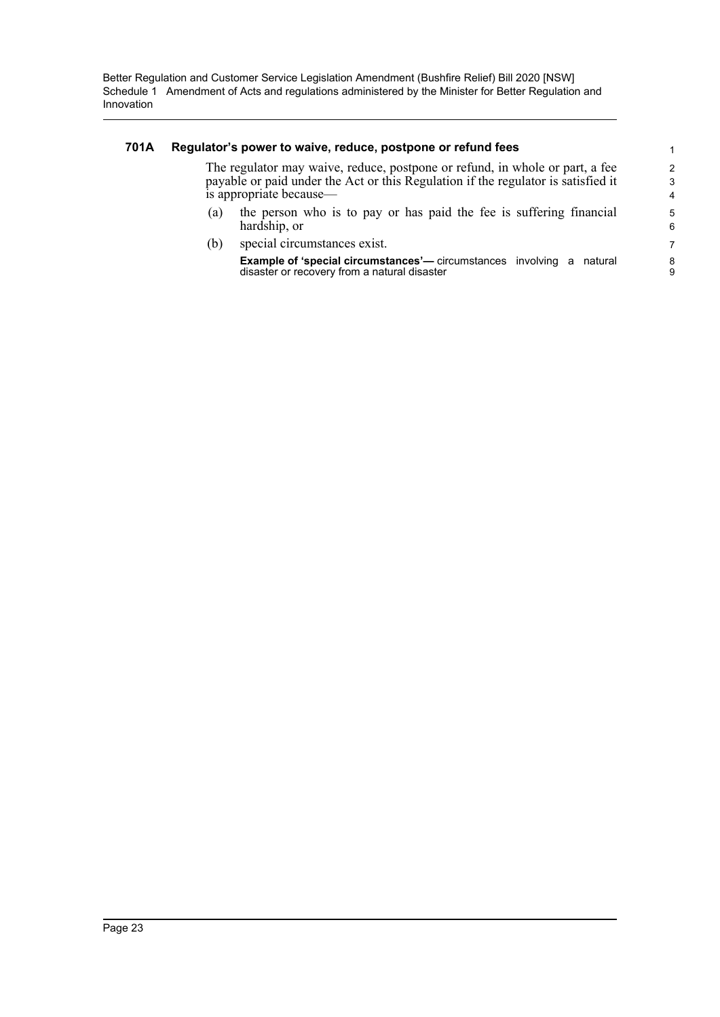### **701A Regulator's power to waive, reduce, postpone or refund fees**

The regulator may waive, reduce, postpone or refund, in whole or part, a fee payable or paid under the Act or this Regulation if the regulator is satisfied it is appropriate because—

- (a) the person who is to pay or has paid the fee is suffering financial hardship, or
- (b) special circumstances exist.

**Example of 'special circumstances'—** circumstances involving a natural disaster or recovery from a natural disaster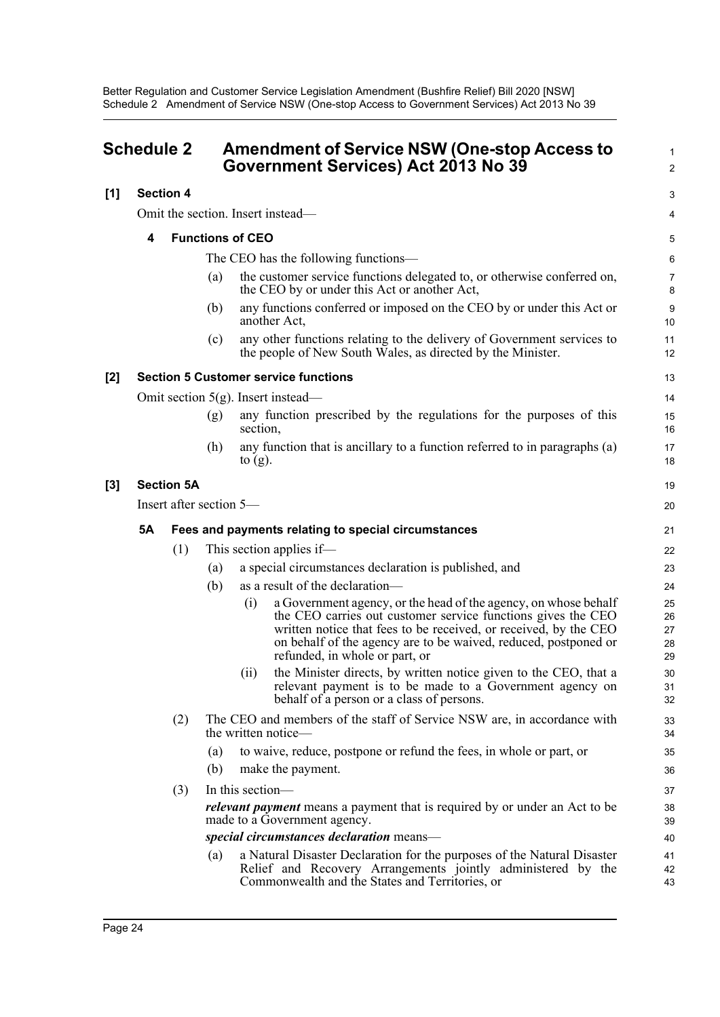Better Regulation and Customer Service Legislation Amendment (Bushfire Relief) Bill 2020 [NSW] Schedule 2 Amendment of Service NSW (One-stop Access to Government Services) Act 2013 No 39

<span id="page-27-0"></span>

| <b>Schedule 2</b> |                         |                  | <b>Amendment of Service NSW (One-stop Access to</b><br>Government Services) Act 2013 No 39 |                   |                                                                                                                                                                                                                                                                                                          |                            |
|-------------------|-------------------------|------------------|--------------------------------------------------------------------------------------------|-------------------|----------------------------------------------------------------------------------------------------------------------------------------------------------------------------------------------------------------------------------------------------------------------------------------------------------|----------------------------|
| [1]               |                         | <b>Section 4</b> |                                                                                            |                   |                                                                                                                                                                                                                                                                                                          | 3                          |
|                   |                         |                  |                                                                                            |                   | Omit the section. Insert instead—                                                                                                                                                                                                                                                                        | 4                          |
|                   | 4                       |                  | <b>Functions of CEO</b>                                                                    |                   |                                                                                                                                                                                                                                                                                                          | 5                          |
|                   |                         |                  |                                                                                            |                   | The CEO has the following functions—                                                                                                                                                                                                                                                                     | 6                          |
|                   |                         |                  | (a)                                                                                        |                   | the customer service functions delegated to, or otherwise conferred on,<br>the CEO by or under this Act or another Act,                                                                                                                                                                                  | 7<br>8                     |
|                   |                         |                  | (b)                                                                                        |                   | any functions conferred or imposed on the CEO by or under this Act or<br>another Act,                                                                                                                                                                                                                    | 9<br>10                    |
|                   |                         |                  | (c)                                                                                        |                   | any other functions relating to the delivery of Government services to<br>the people of New South Wales, as directed by the Minister.                                                                                                                                                                    | 11<br>12                   |
| [2]               |                         |                  |                                                                                            |                   | <b>Section 5 Customer service functions</b>                                                                                                                                                                                                                                                              | 13                         |
|                   |                         |                  |                                                                                            |                   | Omit section $5(g)$ . Insert instead—                                                                                                                                                                                                                                                                    | 14                         |
|                   |                         |                  | (g)                                                                                        | section,          | any function prescribed by the regulations for the purposes of this                                                                                                                                                                                                                                      | 15<br>16                   |
|                   |                         |                  | (h)                                                                                        | to $(g)$ .        | any function that is ancillary to a function referred to in paragraphs (a)                                                                                                                                                                                                                               | 17<br>18                   |
| [3]               | <b>Section 5A</b>       |                  |                                                                                            |                   |                                                                                                                                                                                                                                                                                                          | 19                         |
|                   | Insert after section 5— |                  |                                                                                            |                   | 20                                                                                                                                                                                                                                                                                                       |                            |
|                   | <b>5A</b>               |                  |                                                                                            |                   | Fees and payments relating to special circumstances                                                                                                                                                                                                                                                      | 21                         |
|                   |                         | (1)              |                                                                                            |                   | This section applies if—                                                                                                                                                                                                                                                                                 | 22                         |
|                   |                         |                  | (a)                                                                                        |                   | a special circumstances declaration is published, and                                                                                                                                                                                                                                                    | 23                         |
|                   |                         |                  | (b)                                                                                        |                   | as a result of the declaration-                                                                                                                                                                                                                                                                          | 24                         |
|                   |                         |                  |                                                                                            | $\left( 1\right)$ | a Government agency, or the head of the agency, on whose behalf<br>the CEO carries out customer service functions gives the CEO<br>written notice that fees to be received, or received, by the CEO<br>on behalf of the agency are to be waived, reduced, postponed or<br>refunded, in whole or part, or | 25<br>26<br>27<br>28<br>29 |
|                   |                         |                  |                                                                                            | (ii)              | the Minister directs, by written notice given to the CEO, that a<br>relevant payment is to be made to a Government agency on<br>behalf of a person or a class of persons.                                                                                                                                | 30<br>31<br>32             |
|                   | (2)                     |                  |                                                                                            |                   | The CEO and members of the staff of Service NSW are, in accordance with<br>the written notice-                                                                                                                                                                                                           | 33<br>34                   |
|                   |                         |                  | (a)<br>(b)                                                                                 |                   | to waive, reduce, postpone or refund the fees, in whole or part, or<br>make the payment.                                                                                                                                                                                                                 | 35<br>36                   |
|                   |                         | (3)              | In this section-                                                                           |                   |                                                                                                                                                                                                                                                                                                          | 37                         |
|                   |                         |                  |                                                                                            |                   | relevant payment means a payment that is required by or under an Act to be<br>made to a Government agency.                                                                                                                                                                                               | 38<br>39                   |
|                   |                         |                  |                                                                                            |                   | special circumstances declaration means-                                                                                                                                                                                                                                                                 | 40                         |
|                   |                         |                  | (a)                                                                                        |                   | a Natural Disaster Declaration for the purposes of the Natural Disaster<br>Relief and Recovery Arrangements jointly administered by the<br>Commonwealth and the States and Territories, or                                                                                                               | 41<br>42<br>43             |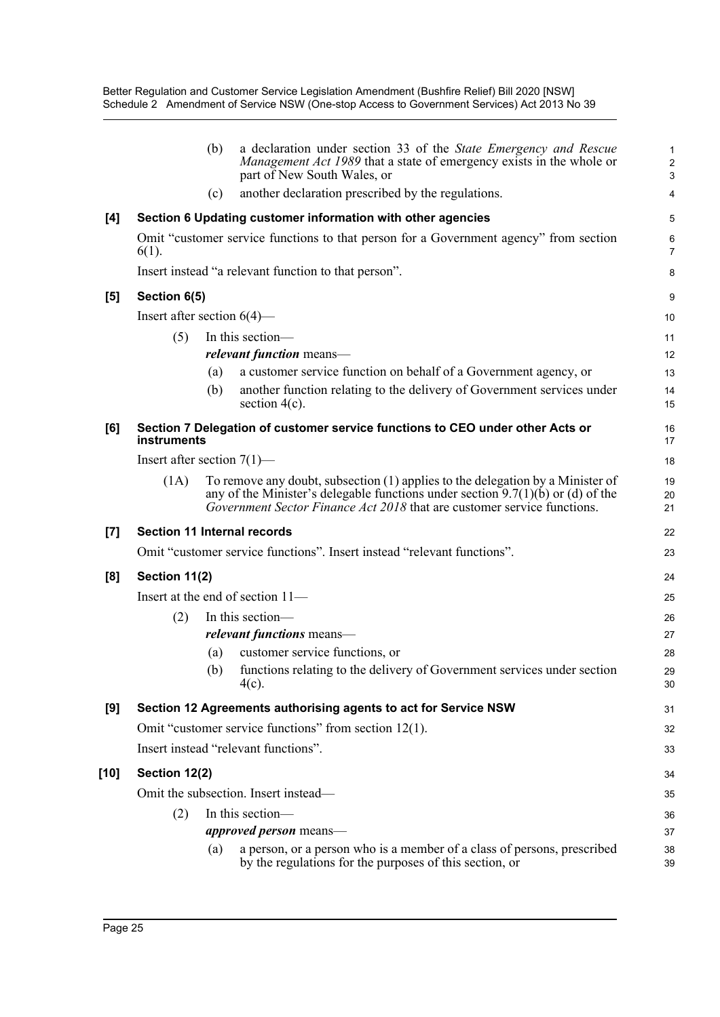|       |                                                                                                   | (b)                      | a declaration under section 33 of the State Emergency and Rescue                                                                                                                                                                               | 1                   |  |  |
|-------|---------------------------------------------------------------------------------------------------|--------------------------|------------------------------------------------------------------------------------------------------------------------------------------------------------------------------------------------------------------------------------------------|---------------------|--|--|
|       |                                                                                                   |                          | Management Act 1989 that a state of emergency exists in the whole or<br>part of New South Wales, or                                                                                                                                            | $\overline{c}$<br>3 |  |  |
|       |                                                                                                   | (c)                      | another declaration prescribed by the regulations.                                                                                                                                                                                             | 4                   |  |  |
| [4]   | Section 6 Updating customer information with other agencies                                       |                          |                                                                                                                                                                                                                                                |                     |  |  |
|       | Omit "customer service functions to that person for a Government agency" from section<br>$6(1)$ . |                          |                                                                                                                                                                                                                                                |                     |  |  |
|       | Insert instead "a relevant function to that person".                                              |                          |                                                                                                                                                                                                                                                |                     |  |  |
| [5]   | Section 6(5)                                                                                      |                          |                                                                                                                                                                                                                                                |                     |  |  |
|       | Insert after section $6(4)$ —                                                                     |                          |                                                                                                                                                                                                                                                |                     |  |  |
|       | (5)                                                                                               | In this section-         |                                                                                                                                                                                                                                                |                     |  |  |
|       |                                                                                                   | relevant function means- |                                                                                                                                                                                                                                                |                     |  |  |
|       |                                                                                                   | (a)                      | a customer service function on behalf of a Government agency, or                                                                                                                                                                               | 13                  |  |  |
|       |                                                                                                   | (b)                      | another function relating to the delivery of Government services under<br>section $4(c)$ .                                                                                                                                                     | 14<br>15            |  |  |
| [6]   | Section 7 Delegation of customer service functions to CEO under other Acts or<br>instruments      |                          |                                                                                                                                                                                                                                                |                     |  |  |
|       | Insert after section $7(1)$ —                                                                     |                          |                                                                                                                                                                                                                                                |                     |  |  |
|       | (1A)                                                                                              |                          | To remove any doubt, subsection (1) applies to the delegation by a Minister of<br>any of the Minister's delegable functions under section $9.7(1)(b)$ or (d) of the<br>Government Sector Finance Act 2018 that are customer service functions. | 19<br>20<br>21      |  |  |
| $[7]$ | <b>Section 11 Internal records</b>                                                                |                          |                                                                                                                                                                                                                                                |                     |  |  |
|       | Omit "customer service functions". Insert instead "relevant functions".                           |                          |                                                                                                                                                                                                                                                |                     |  |  |
| [8]   | Section 11(2)                                                                                     |                          |                                                                                                                                                                                                                                                |                     |  |  |
|       | Insert at the end of section 11-                                                                  |                          |                                                                                                                                                                                                                                                |                     |  |  |
|       | (2)                                                                                               |                          | In this section-                                                                                                                                                                                                                               | 26                  |  |  |
|       |                                                                                                   |                          | <i>relevant functions</i> means-                                                                                                                                                                                                               | 27                  |  |  |
|       |                                                                                                   | (a)                      | customer service functions, or                                                                                                                                                                                                                 | 28                  |  |  |
|       |                                                                                                   | (b)                      | functions relating to the delivery of Government services under section<br>$4(c)$ .                                                                                                                                                            | 29<br>30            |  |  |
| [9]   | Section 12 Agreements authorising agents to act for Service NSW                                   |                          |                                                                                                                                                                                                                                                |                     |  |  |
|       |                                                                                                   |                          | Omit "customer service functions" from section 12(1).                                                                                                                                                                                          | 32                  |  |  |
|       |                                                                                                   |                          | Insert instead "relevant functions".                                                                                                                                                                                                           | 33                  |  |  |
| [10]  | Section 12(2)                                                                                     |                          |                                                                                                                                                                                                                                                |                     |  |  |
|       | Omit the subsection. Insert instead—                                                              |                          |                                                                                                                                                                                                                                                |                     |  |  |
|       | In this section-<br>(2)                                                                           |                          |                                                                                                                                                                                                                                                |                     |  |  |
|       |                                                                                                   |                          | <i>approved person</i> means—                                                                                                                                                                                                                  | 36<br>37            |  |  |
|       |                                                                                                   | (a)                      | a person, or a person who is a member of a class of persons, prescribed<br>by the regulations for the purposes of this section, or                                                                                                             | 38<br>39            |  |  |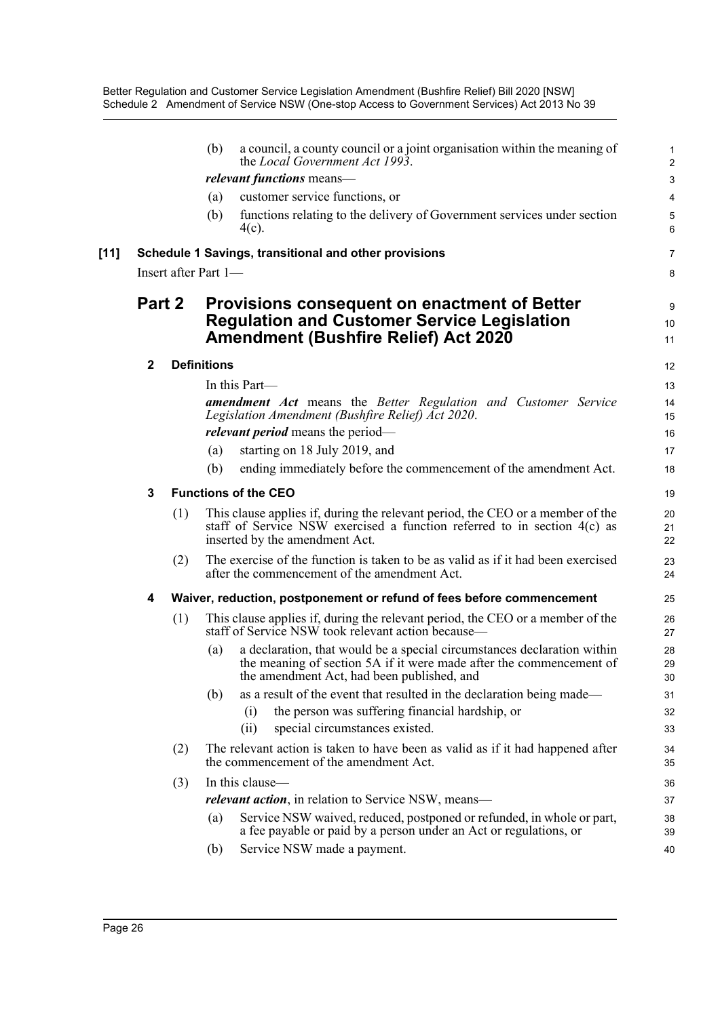Better Regulation and Customer Service Legislation Amendment (Bushfire Relief) Bill 2020 [NSW] Schedule 2 Amendment of Service NSW (One-stop Access to Government Services) Act 2013 No 39

|                                                       |     | (b)                                                                                                                                                      | a council, a county council or a joint organisation within the meaning of<br>the Local Government Act 1993.                                                                                  | 1<br>$\overline{2}$                                                                                                                                                                                                                                                                                                                                                                                                                                                                                                                                                                                                                                                                                                                                                                                                                                                                                                                                                                                                                                                                                 |  |
|-------------------------------------------------------|-----|----------------------------------------------------------------------------------------------------------------------------------------------------------|----------------------------------------------------------------------------------------------------------------------------------------------------------------------------------------------|-----------------------------------------------------------------------------------------------------------------------------------------------------------------------------------------------------------------------------------------------------------------------------------------------------------------------------------------------------------------------------------------------------------------------------------------------------------------------------------------------------------------------------------------------------------------------------------------------------------------------------------------------------------------------------------------------------------------------------------------------------------------------------------------------------------------------------------------------------------------------------------------------------------------------------------------------------------------------------------------------------------------------------------------------------------------------------------------------------|--|
|                                                       |     | relevant functions means-                                                                                                                                |                                                                                                                                                                                              |                                                                                                                                                                                                                                                                                                                                                                                                                                                                                                                                                                                                                                                                                                                                                                                                                                                                                                                                                                                                                                                                                                     |  |
|                                                       |     | (a)                                                                                                                                                      | customer service functions, or                                                                                                                                                               | 4                                                                                                                                                                                                                                                                                                                                                                                                                                                                                                                                                                                                                                                                                                                                                                                                                                                                                                                                                                                                                                                                                                   |  |
|                                                       |     | (b)                                                                                                                                                      | functions relating to the delivery of Government services under section<br>$4(c)$ .                                                                                                          | 5<br>6                                                                                                                                                                                                                                                                                                                                                                                                                                                                                                                                                                                                                                                                                                                                                                                                                                                                                                                                                                                                                                                                                              |  |
| Schedule 1 Savings, transitional and other provisions |     |                                                                                                                                                          |                                                                                                                                                                                              |                                                                                                                                                                                                                                                                                                                                                                                                                                                                                                                                                                                                                                                                                                                                                                                                                                                                                                                                                                                                                                                                                                     |  |
| Insert after Part 1-                                  |     |                                                                                                                                                          |                                                                                                                                                                                              |                                                                                                                                                                                                                                                                                                                                                                                                                                                                                                                                                                                                                                                                                                                                                                                                                                                                                                                                                                                                                                                                                                     |  |
| Part 2                                                |     | <b>Provisions consequent on enactment of Better</b><br><b>Regulation and Customer Service Legislation</b><br><b>Amendment (Bushfire Relief) Act 2020</b> |                                                                                                                                                                                              | 9<br>10<br>11                                                                                                                                                                                                                                                                                                                                                                                                                                                                                                                                                                                                                                                                                                                                                                                                                                                                                                                                                                                                                                                                                       |  |
| $\mathbf{2}$                                          |     |                                                                                                                                                          |                                                                                                                                                                                              |                                                                                                                                                                                                                                                                                                                                                                                                                                                                                                                                                                                                                                                                                                                                                                                                                                                                                                                                                                                                                                                                                                     |  |
|                                                       |     |                                                                                                                                                          |                                                                                                                                                                                              | 13                                                                                                                                                                                                                                                                                                                                                                                                                                                                                                                                                                                                                                                                                                                                                                                                                                                                                                                                                                                                                                                                                                  |  |
|                                                       |     |                                                                                                                                                          |                                                                                                                                                                                              | 14                                                                                                                                                                                                                                                                                                                                                                                                                                                                                                                                                                                                                                                                                                                                                                                                                                                                                                                                                                                                                                                                                                  |  |
|                                                       |     |                                                                                                                                                          |                                                                                                                                                                                              | 15                                                                                                                                                                                                                                                                                                                                                                                                                                                                                                                                                                                                                                                                                                                                                                                                                                                                                                                                                                                                                                                                                                  |  |
|                                                       |     |                                                                                                                                                          |                                                                                                                                                                                              | 16                                                                                                                                                                                                                                                                                                                                                                                                                                                                                                                                                                                                                                                                                                                                                                                                                                                                                                                                                                                                                                                                                                  |  |
|                                                       |     |                                                                                                                                                          |                                                                                                                                                                                              | 17                                                                                                                                                                                                                                                                                                                                                                                                                                                                                                                                                                                                                                                                                                                                                                                                                                                                                                                                                                                                                                                                                                  |  |
|                                                       |     | (b)                                                                                                                                                      |                                                                                                                                                                                              | 18                                                                                                                                                                                                                                                                                                                                                                                                                                                                                                                                                                                                                                                                                                                                                                                                                                                                                                                                                                                                                                                                                                  |  |
| 3                                                     |     |                                                                                                                                                          |                                                                                                                                                                                              | 19                                                                                                                                                                                                                                                                                                                                                                                                                                                                                                                                                                                                                                                                                                                                                                                                                                                                                                                                                                                                                                                                                                  |  |
|                                                       | (1) |                                                                                                                                                          |                                                                                                                                                                                              | 20<br>21<br>22                                                                                                                                                                                                                                                                                                                                                                                                                                                                                                                                                                                                                                                                                                                                                                                                                                                                                                                                                                                                                                                                                      |  |
|                                                       | (2) |                                                                                                                                                          |                                                                                                                                                                                              | 23<br>24                                                                                                                                                                                                                                                                                                                                                                                                                                                                                                                                                                                                                                                                                                                                                                                                                                                                                                                                                                                                                                                                                            |  |
| 4                                                     |     |                                                                                                                                                          |                                                                                                                                                                                              | 25                                                                                                                                                                                                                                                                                                                                                                                                                                                                                                                                                                                                                                                                                                                                                                                                                                                                                                                                                                                                                                                                                                  |  |
|                                                       | (1) |                                                                                                                                                          |                                                                                                                                                                                              | 26<br>27                                                                                                                                                                                                                                                                                                                                                                                                                                                                                                                                                                                                                                                                                                                                                                                                                                                                                                                                                                                                                                                                                            |  |
|                                                       |     | (a)                                                                                                                                                      | a declaration, that would be a special circumstances declaration within<br>the meaning of section 5A if it were made after the commencement of<br>the amendment Act, had been published, and | 28<br>29<br>$30\,$                                                                                                                                                                                                                                                                                                                                                                                                                                                                                                                                                                                                                                                                                                                                                                                                                                                                                                                                                                                                                                                                                  |  |
|                                                       |     | (b)                                                                                                                                                      | as a result of the event that resulted in the declaration being made—                                                                                                                        | 31                                                                                                                                                                                                                                                                                                                                                                                                                                                                                                                                                                                                                                                                                                                                                                                                                                                                                                                                                                                                                                                                                                  |  |
|                                                       |     |                                                                                                                                                          | the person was suffering financial hardship, or<br>(i)                                                                                                                                       | 32                                                                                                                                                                                                                                                                                                                                                                                                                                                                                                                                                                                                                                                                                                                                                                                                                                                                                                                                                                                                                                                                                                  |  |
|                                                       |     |                                                                                                                                                          | (ii)<br>special circumstances existed.                                                                                                                                                       | 33                                                                                                                                                                                                                                                                                                                                                                                                                                                                                                                                                                                                                                                                                                                                                                                                                                                                                                                                                                                                                                                                                                  |  |
|                                                       | (2) |                                                                                                                                                          |                                                                                                                                                                                              | 34<br>35                                                                                                                                                                                                                                                                                                                                                                                                                                                                                                                                                                                                                                                                                                                                                                                                                                                                                                                                                                                                                                                                                            |  |
| (3)                                                   |     | In this clause-                                                                                                                                          |                                                                                                                                                                                              |                                                                                                                                                                                                                                                                                                                                                                                                                                                                                                                                                                                                                                                                                                                                                                                                                                                                                                                                                                                                                                                                                                     |  |
|                                                       |     |                                                                                                                                                          |                                                                                                                                                                                              | 37                                                                                                                                                                                                                                                                                                                                                                                                                                                                                                                                                                                                                                                                                                                                                                                                                                                                                                                                                                                                                                                                                                  |  |
|                                                       |     | (a)                                                                                                                                                      | Service NSW waived, reduced, postponed or refunded, in whole or part,<br>a fee payable or paid by a person under an Act or regulations, or                                                   | 38<br>39                                                                                                                                                                                                                                                                                                                                                                                                                                                                                                                                                                                                                                                                                                                                                                                                                                                                                                                                                                                                                                                                                            |  |
|                                                       |     | (b)                                                                                                                                                      | Service NSW made a payment.                                                                                                                                                                  | 40                                                                                                                                                                                                                                                                                                                                                                                                                                                                                                                                                                                                                                                                                                                                                                                                                                                                                                                                                                                                                                                                                                  |  |
|                                                       |     |                                                                                                                                                          | (a)                                                                                                                                                                                          | <b>Definitions</b><br>In this Part-<br><b>amendment</b> Act means the Better Regulation and Customer Service<br>Legislation Amendment (Bushfire Relief) Act 2020.<br><i>relevant period</i> means the period—<br>starting on 18 July 2019, and<br>ending immediately before the commencement of the amendment Act.<br><b>Functions of the CEO</b><br>This clause applies if, during the relevant period, the CEO or a member of the<br>staff of Service NSW exercised a function referred to in section $4(c)$ as<br>inserted by the amendment Act.<br>The exercise of the function is taken to be as valid as if it had been exercised<br>after the commencement of the amendment Act.<br>Waiver, reduction, postponement or refund of fees before commencement<br>This clause applies if, during the relevant period, the CEO or a member of the<br>staff of Service NSW took relevant action because—<br>The relevant action is taken to have been as valid as if it had happened after<br>the commencement of the amendment Act.<br><i>relevant action</i> , in relation to Service NSW, means— |  |